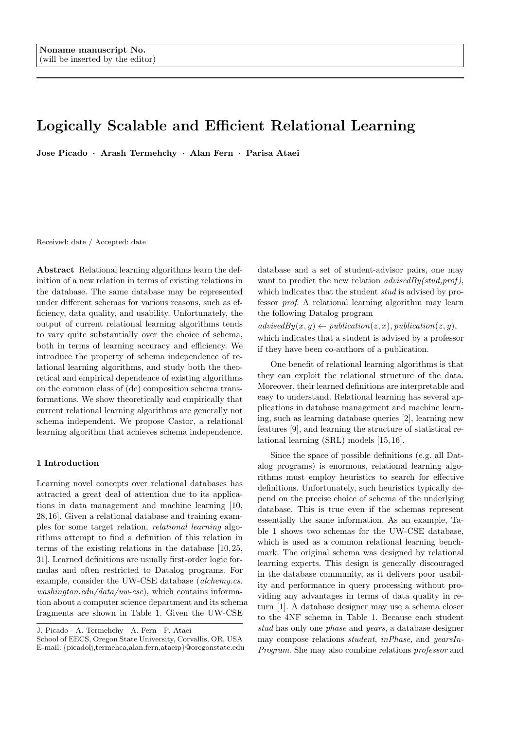# Logically Scalable and Efficient Relational Learning

Jose Picado · Arash Termehchy · Alan Fern · Parisa Ataei

Received: date / Accepted: date

Abstract Relational learning algorithms learn the definition of a new relation in terms of existing relations in the database. The same database may be represented under different schemas for various reasons, such as efficiency, data quality, and usability. Unfortunately, the output of current relational learning algorithms tends to vary quite substantially over the choice of schema, both in terms of learning accuracy and efficiency. We introduce the property of schema independence of relational learning algorithms, and study both the theoretical and empirical dependence of existing algorithms on the common class of (de) composition schema transformations. We show theoretically and empirically that current relational learning algorithms are generally not schema independent. We propose Castor, a relational learning algorithm that achieves schema independence.

## 1 Introduction

Learning novel concepts over relational databases has attracted a great deal of attention due to its applications in data management and machine learning [10, 28, 16]. Given a relational database and training examples for some target relation, relational learning algorithms attempt to find a definition of this relation in terms of the existing relations in the database [10, 25, 31]. Learned definitions are usually first-order logic formulas and often restricted to Datalog programs. For example, consider the UW-CSE database *(alchemy.cs.*)  $washington.edu/data/uw-cse)$ , which contains information about a computer science department and its schema fragments are shown in Table 1. Given the UW-CSE

J. Picado · A. Termehchy · A. Fern · P. Ataei

School of EECS, Oregon State University, Corvallis, OR, USA E-mail: {picadolj,termehca,alan.fern,ataeip}@oregonstate.edu database and a set of student-advisor pairs, one may want to predict the new relation *advisedBy(stud,prof)*, which indicates that the student *stud* is advised by professor prof. A relational learning algorithm may learn the following Datalog program

 $advisedBy(x, y) \leftarrow publication(z, x), publication(z, y),$ which indicates that a student is advised by a professor if they have been co-authors of a publication.

One benefit of relational learning algorithms is that they can exploit the relational structure of the data. Moreover, their learned definitions are interpretable and easy to understand. Relational learning has several applications in database management and machine learning, such as learning database queries [2], learning new features [9], and learning the structure of statistical relational learning (SRL) models [15, 16].

Since the space of possible definitions (e.g. all Datalog programs) is enormous, relational learning algorithms must employ heuristics to search for effective definitions. Unfortunately, such heuristics typically depend on the precise choice of schema of the underlying database. This is true even if the schemas represent essentially the same information. As an example, Table 1 shows two schemas for the UW-CSE database, which is used as a common relational learning benchmark. The original schema was designed by relational learning experts. This design is generally discouraged in the database community, as it delivers poor usability and performance in query processing without providing any advantages in terms of data quality in return [1]. A database designer may use a schema closer to the 4NF schema in Table 1. Because each student stud has only one phase and years, a database designer may compose relations *student*, *inPhase*, and *yearsIn*-Program. She may also combine relations professor and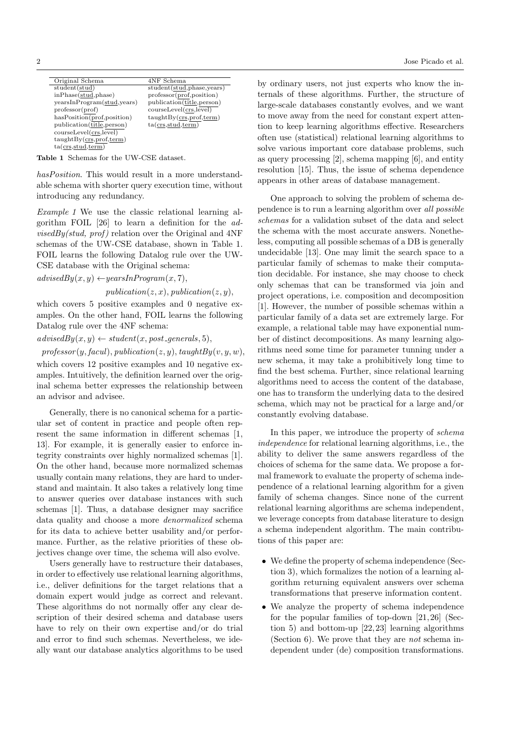| Original Schema            | 4NF Schema                  |
|----------------------------|-----------------------------|
| student(stud)              | student(stud, phase, years) |
| inPhase(statd,phase)       | professor(prof,position)    |
| yearsInProgram(stud,years) | publication(title, person)  |
| professor(pred)            | courseLevel(crs,level)      |
| hasPosition(prof,position) | taughtBy(crs, prof,term)    |
| publication(title, person) | ta(crs, stud, term)         |
| courseLevel(crs,level)     |                             |
| taughtBy(crs, prof, term)  |                             |
| ta(crs, stud, term)        |                             |

Table 1 Schemas for the UW-CSE dataset.

has Position. This would result in a more understandable schema with shorter query execution time, without introducing any redundancy.

Example 1 We use the classic relational learning algorithm FOIL [26] to learn a definition for the ad $visedBy(stud, prof)$  relation over the Original and 4NF schemas of the UW-CSE database, shown in Table 1. FOIL learns the following Datalog rule over the UW-CSE database with the Original schema:

 $advisedBy(x, y) \leftarrow yearsInProgram(x, 7),$ 

 $publication(z, x), publication(z, y),$ 

which covers 5 positive examples and 0 negative examples. On the other hand, FOIL learns the following Datalog rule over the 4NF schema:

 $advisedBy(x, y) \leftarrow student(x, post{\text{-}}generals, 5),$ 

 $professor(y, facult), publication(z, y), taughtBy(v, y, w),$ which covers 12 positive examples and 10 negative examples. Intuitively, the definition learned over the original schema better expresses the relationship between an advisor and advisee.

Generally, there is no canonical schema for a particular set of content in practice and people often represent the same information in different schemas [1, 13]. For example, it is generally easier to enforce integrity constraints over highly normalized schemas [1]. On the other hand, because more normalized schemas usually contain many relations, they are hard to understand and maintain. It also takes a relatively long time to answer queries over database instances with such schemas [1]. Thus, a database designer may sacrifice data quality and choose a more denormalized schema for its data to achieve better usability and/or performance. Further, as the relative priorities of these objectives change over time, the schema will also evolve.

Users generally have to restructure their databases, in order to effectively use relational learning algorithms, i.e., deliver definitions for the target relations that a domain expert would judge as correct and relevant. These algorithms do not normally offer any clear description of their desired schema and database users have to rely on their own expertise and/or do trial and error to find such schemas. Nevertheless, we ideally want our database analytics algorithms to be used by ordinary users, not just experts who know the internals of these algorithms. Further, the structure of large-scale databases constantly evolves, and we want to move away from the need for constant expert attention to keep learning algorithms effective. Researchers often use (statistical) relational learning algorithms to solve various important core database problems, such as query processing [2], schema mapping [6], and entity resolution [15]. Thus, the issue of schema dependence appears in other areas of database management.

One approach to solving the problem of schema dependence is to run a learning algorithm over all possible schemas for a validation subset of the data and select the schema with the most accurate answers. Nonetheless, computing all possible schemas of a DB is generally undecidable [13]. One may limit the search space to a particular family of schemas to make their computation decidable. For instance, she may choose to check only schemas that can be transformed via join and project operations, i.e. composition and decomposition [1]. However, the number of possible schemas within a particular family of a data set are extremely large. For example, a relational table may have exponential number of distinct decompositions. As many learning algorithms need some time for parameter tunning under a new schema, it may take a prohibitively long time to find the best schema. Further, since relational learning algorithms need to access the content of the database, one has to transform the underlying data to the desired schema, which may not be practical for a large and/or constantly evolving database.

In this paper, we introduce the property of schema independence for relational learning algorithms, i.e., the ability to deliver the same answers regardless of the choices of schema for the same data. We propose a formal framework to evaluate the property of schema independence of a relational learning algorithm for a given family of schema changes. Since none of the current relational learning algorithms are schema independent, we leverage concepts from database literature to design a schema independent algorithm. The main contributions of this paper are:

- We define the property of schema independence (Section 3), which formalizes the notion of a learning algorithm returning equivalent answers over schema transformations that preserve information content.
- We analyze the property of schema independence for the popular families of top-down [21, 26] (Section 5) and bottom-up [22, 23] learning algorithms (Section 6). We prove that they are not schema independent under (de) composition transformations.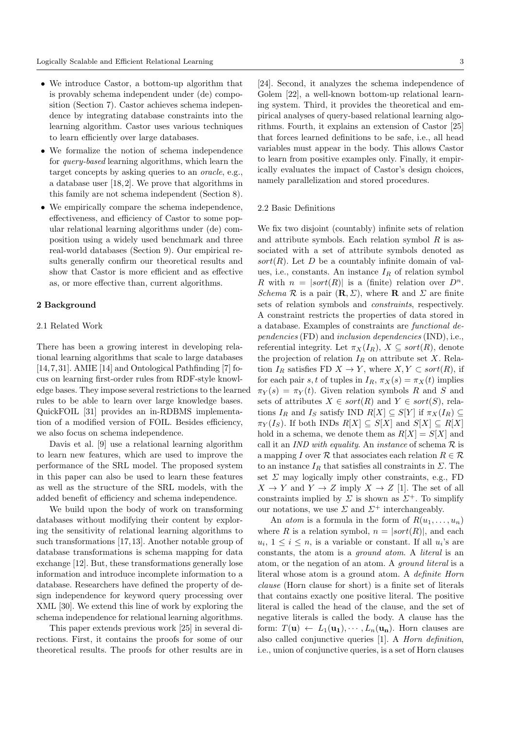- We introduce Castor, a bottom-up algorithm that is provably schema independent under (de) composition (Section 7). Castor achieves schema independence by integrating database constraints into the learning algorithm. Castor uses various techniques to learn efficiently over large databases.
- We formalize the notion of schema independence for *query-based* learning algorithms, which learn the target concepts by asking queries to an oracle, e.g., a database user [18, 2]. We prove that algorithms in this family are not schema independent (Section 8).
- We empirically compare the schema independence. effectiveness, and efficiency of Castor to some popular relational learning algorithms under (de) composition using a widely used benchmark and three real-world databases (Section 9). Our empirical results generally confirm our theoretical results and show that Castor is more efficient and as effective as, or more effective than, current algorithms.

## 2 Background

## 2.1 Related Work

There has been a growing interest in developing relational learning algorithms that scale to large databases [14, 7, 31]. AMIE [14] and Ontological Pathfinding [7] focus on learning first-order rules from RDF-style knowledge bases. They impose several restrictions to the learned rules to be able to learn over large knowledge bases. QuickFOIL [31] provides an in-RDBMS implementation of a modified version of FOIL. Besides efficiency, we also focus on schema independence.

Davis et al. [9] use a relational learning algorithm to learn new features, which are used to improve the performance of the SRL model. The proposed system in this paper can also be used to learn these features as well as the structure of the SRL models, with the added benefit of efficiency and schema independence.

We build upon the body of work on transforming databases without modifying their content by exploring the sensitivity of relational learning algorithms to such transformations [17, 13]. Another notable group of database transformations is schema mapping for data exchange [12]. But, these transformations generally lose information and introduce incomplete information to a database. Researchers have defined the property of design independence for keyword query processing over XML [30]. We extend this line of work by exploring the schema independence for relational learning algorithms.

This paper extends previous work [25] in several directions. First, it contains the proofs for some of our theoretical results. The proofs for other results are in

[24]. Second, it analyzes the schema independence of Golem [22], a well-known bottom-up relational learning system. Third, it provides the theoretical and empirical analyses of query-based relational learning algorithms. Fourth, it explains an extension of Castor [25] that forces learned definitions to be safe, i.e., all head variables must appear in the body. This allows Castor to learn from positive examples only. Finally, it empirically evaluates the impact of Castor's design choices, namely parallelization and stored procedures.

#### 2.2 Basic Definitions

We fix two disjoint (countably) infinite sets of relation and attribute symbols. Each relation symbol  $R$  is associated with a set of attribute symbols denoted as sort $(R)$ . Let D be a countably infinite domain of values, i.e., constants. An instance  $I_R$  of relation symbol R with  $n = |sort(R)|$  is a (finite) relation over  $D^n$ . Schema R is a pair  $(\mathbf{R}, \Sigma)$ , where **R** and  $\Sigma$  are finite sets of relation symbols and constraints, respectively. A constraint restricts the properties of data stored in a database. Examples of constraints are functional dependencies (FD) and inclusion dependencies (IND), i.e., referential integrity. Let  $\pi_X(I_R)$ ,  $X \subseteq sort(R)$ , denote the projection of relation  $I_R$  on attribute set X. Relation  $I_R$  satisfies FD  $X \to Y$ , where  $X, Y \subset sort(R)$ , if for each pair s, t of tuples in  $I_R$ ,  $\pi_X(s) = \pi_X(t)$  implies  $\pi_Y(s) = \pi_Y(t)$ . Given relation symbols R and S and sets of attributes  $X \in sort(R)$  and  $Y \in sort(S)$ , relations  $I_R$  and  $I_S$  satisfy IND  $R[X] \subseteq S[Y]$  if  $\pi_X(I_R) \subseteq$  $\pi_Y(I_S)$ . If both INDs  $R[X] \subseteq S[X]$  and  $S[X] \subseteq R[X]$ hold in a schema, we denote them as  $R[X] = S[X]$  and call it an *IND with equality*. An *instance* of schema  $\mathcal{R}$  is a mapping I over R that associates each relation  $R \in \mathcal{R}$ to an instance  $I_R$  that satisfies all constraints in  $\Sigma$ . The set  $\Sigma$  may logically imply other constraints, e.g., FD  $X \to Y$  and  $Y \to Z$  imply  $X \to Z$  [1]. The set of all constraints implied by  $\Sigma$  is shown as  $\Sigma^+$ . To simplify our notations, we use  $\Sigma$  and  $\Sigma^+$  interchangeably.

An *atom* is a formula in the form of  $R(u_1, \ldots, u_n)$ where R is a relation symbol,  $n = |sort(R)|$ , and each  $u_i, 1 \leq i \leq n$ , is a variable or constant. If all  $u_i$ 's are constants, the atom is a ground atom. A literal is an atom, or the negation of an atom. A ground literal is a literal whose atom is a ground atom. A definite Horn clause (Horn clause for short) is a finite set of literals that contains exactly one positive literal. The positive literal is called the head of the clause, and the set of negative literals is called the body. A clause has the form:  $T(\mathbf{u}) \leftarrow L_1(\mathbf{u_1}), \cdots, L_n(\mathbf{u_n}).$  Horn clauses are also called conjunctive queries [1]. A Horn definition, i.e., union of conjunctive queries, is a set of Horn clauses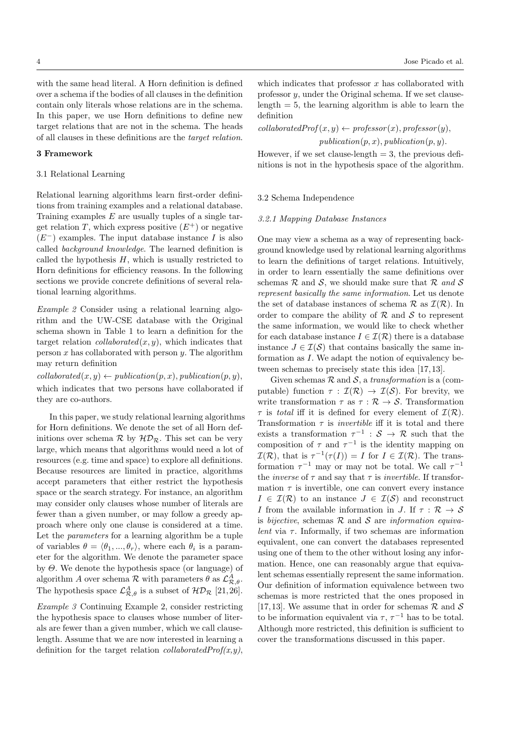with the same head literal. A Horn definition is defined over a schema if the bodies of all clauses in the definition contain only literals whose relations are in the schema. In this paper, we use Horn definitions to define new target relations that are not in the schema. The heads of all clauses in these definitions are the target relation.

#### 3 Framework

#### 3.1 Relational Learning

Relational learning algorithms learn first-order definitions from training examples and a relational database. Training examples  $E$  are usually tuples of a single target relation T, which express positive  $(E^+)$  or negative  $(E^-)$  examples. The input database instance I is also called background knowledge. The learned definition is called the hypothesis  $H$ , which is usually restricted to Horn definitions for efficiency reasons. In the following sections we provide concrete definitions of several relational learning algorithms.

Example 2 Consider using a relational learning algorithm and the UW-CSE database with the Original schema shown in Table 1 to learn a definition for the target relation *collaborated* $(x, y)$ , which indicates that person  $x$  has collaborated with person  $y$ . The algorithm may return definition

 $collaborated(x, y) \leftarrow publication(p, x), publication(p, y),$ which indicates that two persons have collaborated if they are co-authors.

In this paper, we study relational learning algorithms for Horn definitions. We denote the set of all Horn definitions over schema  $\mathcal{R}$  by  $\mathcal{HD}_{\mathcal{R}}$ . This set can be very large, which means that algorithms would need a lot of resources (e.g. time and space) to explore all definitions. Because resources are limited in practice, algorithms accept parameters that either restrict the hypothesis space or the search strategy. For instance, an algorithm may consider only clauses whose number of literals are fewer than a given number, or may follow a greedy approach where only one clause is considered at a time. Let the parameters for a learning algorithm be a tuple of variables  $\theta = \langle \theta_1, ..., \theta_r \rangle$ , where each  $\theta_i$  is a parameter for the algorithm. We denote the parameter space by  $\Theta$ . We denote the hypothesis space (or language) of algorithm A over schema  $\mathcal R$  with parameters  $\theta$  as  $\mathcal L_{\mathcal R,\theta}^A$ . The hypothesis space  $\mathcal{L}_{\mathcal{R},\theta}^A$  is a subset of  $\mathcal{HD}_{\mathcal{R}}$  [21,26].

Example 3 Continuing Example 2, consider restricting the hypothesis space to clauses whose number of literals are fewer than a given number, which we call clauselength. Assume that we are now interested in learning a definition for the target relation *collaboratedProf(x,y)*,

which indicates that professor  $x$  has collaborated with professor y, under the Original schema. If we set clauselength  $= 5$ , the learning algorithm is able to learn the definition

## $collaboratedProf(x, y) \leftarrow professor(x), professor(y),$  $publication(p, x), publication(p, y).$

However, if we set clause-length  $= 3$ , the previous definitions is not in the hypothesis space of the algorithm.

#### 3.2 Schema Independence

## 3.2.1 Mapping Database Instances

One may view a schema as a way of representing background knowledge used by relational learning algorithms to learn the definitions of target relations. Intuitively, in order to learn essentially the same definitions over schemas  $R$  and  $S$ , we should make sure that  $R$  and  $S$ represent basically the same information. Let us denote the set of database instances of schema  $\mathcal R$  as  $\mathcal I(\mathcal R)$ . In order to compare the ability of  $R$  and  $S$  to represent the same information, we would like to check whether for each database instance  $I \in \mathcal{I}(\mathcal{R})$  there is a database instance  $J \in \mathcal{I}(\mathcal{S})$  that contains basically the same information as  $I$ . We adapt the notion of equivalency between schemas to precisely state this idea [17, 13].

Given schemas  $\mathcal R$  and  $\mathcal S$ , a transformation is a (computable) function  $\tau : \mathcal{I}(\mathcal{R}) \to \mathcal{I}(\mathcal{S})$ . For brevity, we write transformation  $\tau$  as  $\tau : \mathcal{R} \to \mathcal{S}$ . Transformation  $\tau$  is total iff it is defined for every element of  $\mathcal{I}(\mathcal{R})$ . Transformation  $\tau$  is *invertible* iff it is total and there exists a transformation  $\tau^{-1}$ :  $S \to \mathcal{R}$  such that the composition of  $\tau$  and  $\tau^{-1}$  is the identity mapping on  $\mathcal{I}(\mathcal{R})$ , that is  $\tau^{-1}(\tau(I)) = I$  for  $I \in \mathcal{I}(\mathcal{R})$ . The transformation  $\tau^{-1}$  may or may not be total. We call  $\tau^{-1}$ the *inverse* of  $\tau$  and say that  $\tau$  is *invertible*. If transformation  $\tau$  is invertible, one can convert every instance  $I \in \mathcal{I}(\mathcal{R})$  to an instance  $J \in \mathcal{I}(\mathcal{S})$  and reconstruct I from the available information in J. If  $\tau : \mathcal{R} \to \mathcal{S}$ is bijective, schemas  $R$  and  $S$  are information equivalent via  $\tau$ . Informally, if two schemas are information equivalent, one can convert the databases represented using one of them to the other without losing any information. Hence, one can reasonably argue that equivalent schemas essentially represent the same information. Our definition of information equivalence between two schemas is more restricted that the ones proposed in [17, 13]. We assume that in order for schemas  $\mathcal R$  and  $\mathcal S$ to be information equivalent via  $\tau$ ,  $\tau^{-1}$  has to be total. Although more restricted, this definition is sufficient to cover the transformations discussed in this paper.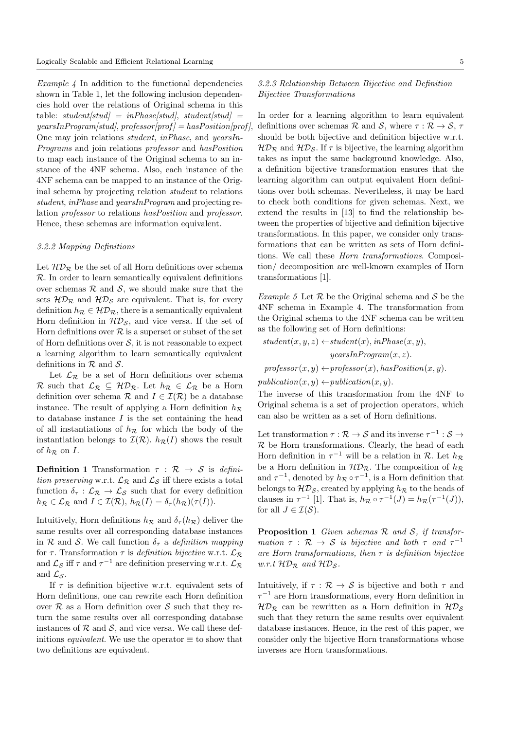Example 4 In addition to the functional dependencies shown in Table 1, let the following inclusion dependencies hold over the relations of Original schema in this table: student[stud] = inPhase[stud], student[stud] =  $yearsInProgram/stud, professor/prof] = hasPosition/prof$ One may join relations student, inPhase, and yearsIn-Programs and join relations professor and hasPosition to map each instance of the Original schema to an instance of the 4NF schema. Also, each instance of the 4NF schema can be mapped to an instance of the Original schema by projecting relation student to relations student, inPhase and yearsInProgram and projecting relation professor to relations hasPosition and professor. Hence, these schemas are information equivalent.

#### 3.2.2 Mapping Definitions

Let  $H\mathcal{D}_\mathcal{R}$  be the set of all Horn definitions over schema R. In order to learn semantically equivalent definitions over schemas  $R$  and  $S$ , we should make sure that the sets  $HD_R$  and  $HD_S$  are equivalent. That is, for every definition  $h_{\mathcal{R}} \in \mathcal{HD}_{\mathcal{R}}$ , there is a semantically equivalent Horn definition in  $H\mathcal{D}_{\mathcal{S}}$ , and vice versa. If the set of Horn definitions over  $\mathcal R$  is a superset or subset of the set of Horn definitions over  $S$ , it is not reasonable to expect a learning algorithm to learn semantically equivalent definitions in  $R$  and  $S$ .

Let  $\mathcal{L}_{\mathcal{R}}$  be a set of Horn definitions over schema R such that  $\mathcal{L}_{\mathcal{R}} \subseteq \mathcal{HD}_{\mathcal{R}}$ . Let  $h_{\mathcal{R}} \in \mathcal{L}_{\mathcal{R}}$  be a Horn definition over schema R and  $I \in \mathcal{I}(\mathcal{R})$  be a database instance. The result of applying a Horn definition  $h_{\mathcal{R}}$ to database instance  $I$  is the set containing the head of all instantiations of  $h_{\mathcal{R}}$  for which the body of the instantiation belongs to  $\mathcal{I}(\mathcal{R})$ .  $h_{\mathcal{R}}(I)$  shows the result of  $h_{\mathcal{R}}$  on I.

**Definition 1** Transformation  $\tau : \mathcal{R} \rightarrow \mathcal{S}$  is definition preserving w.r.t.  $\mathcal{L}_{\mathcal{R}}$  and  $\mathcal{L}_{\mathcal{S}}$  iff there exists a total function  $\delta_{\tau} : \mathcal{L}_{\mathcal{R}} \to \mathcal{L}_{\mathcal{S}}$  such that for every definition  $h_{\mathcal{R}} \in \mathcal{L}_{\mathcal{R}}$  and  $I \in \mathcal{I}(\mathcal{R}), h_{\mathcal{R}}(I) = \delta_{\tau}(h_{\mathcal{R}})(\tau(I)).$ 

Intuitively, Horn definitions  $h_{\mathcal{R}}$  and  $\delta_{\tau}(h_{\mathcal{R}})$  deliver the same results over all corresponding database instances in R and S. We call function  $\delta_{\tau}$  a definition mapping for  $\tau$ . Transformation  $\tau$  is definition bijective w.r.t.  $\mathcal{L}_{\mathcal{R}}$ and  $\mathcal{L}_{\mathcal{S}}$  iff  $\tau$  and  $\tau^{-1}$  are definition preserving w.r.t.  $\mathcal{L}_{\mathcal{R}}$ and  $\mathcal{L}_\mathcal{S}$ .

If  $\tau$  is definition bijective w.r.t. equivalent sets of Horn definitions, one can rewrite each Horn definition over  $R$  as a Horn definition over  $S$  such that they return the same results over all corresponding database instances of  $R$  and  $S$ , and vice versa. We call these definitions *equivalent*. We use the operator  $\equiv$  to show that two definitions are equivalent.

## 3.2.3 Relationship Between Bijective and Definition Bijective Transformations

In order for a learning algorithm to learn equivalent definitions over schemas R and S, where  $\tau : \mathcal{R} \to \mathcal{S}, \tau$ should be both bijective and definition bijective w.r.t.  $HD_R$  and  $HD_S$ . If  $\tau$  is bijective, the learning algorithm takes as input the same background knowledge. Also, a definition bijective transformation ensures that the learning algorithm can output equivalent Horn definitions over both schemas. Nevertheless, it may be hard to check both conditions for given schemas. Next, we extend the results in [13] to find the relationship between the properties of bijective and definition bijective transformations. In this paper, we consider only transformations that can be written as sets of Horn definitions. We call these Horn transformations. Composition/ decomposition are well-known examples of Horn transformations [1].

Example 5 Let  $R$  be the Original schema and  $S$  be the 4NF schema in Example 4. The transformation from the Original schema to the 4NF schema can be written as the following set of Horn definitions:

 $student(x, y, z) \leftarrow student(x), inPhase(x, y),$  $yearsInProgram(x, z).$  $professor(x, y) \leftarrow professor(x), hasPosition(x, y).$ 

 $publication(x, y) \leftarrow publication(x, y).$ 

The inverse of this transformation from the 4NF to Original schema is a set of projection operators, which can also be written as a set of Horn definitions.

Let transformation  $\tau : \mathcal{R} \to \mathcal{S}$  and its inverse  $\tau^{-1} : \mathcal{S} \to$  $\mathcal R$  be Horn transformations. Clearly, the head of each Horn definition in  $\tau^{-1}$  will be a relation in  $\mathcal{R}$ . Let  $h_{\mathcal{R}}$ be a Horn definition in  $H\mathcal{D}_R$ . The composition of  $h_R$ and  $\tau^{-1}$ , denoted by  $h_{\mathcal{R}} \circ \tau^{-1}$ , is a Horn definition that belongs to  $H\mathcal{D}_{\mathcal{S}}$ , created by applying  $h_{\mathcal{R}}$  to the heads of clauses in  $\tau^{-1}$  [1]. That is,  $h_{\mathcal{R}} \circ \tau^{-1}(J) = h_{\mathcal{R}}(\tau^{-1}(J)),$ for all  $J \in \mathcal{I}(\mathcal{S})$ .

**Proposition 1** Given schemas  $\mathcal{R}$  and  $\mathcal{S}$ , if transformation  $\tau : \mathcal{R} \to \mathcal{S}$  is bijective and both  $\tau$  and  $\tau^{-1}$ are Horn transformations, then  $\tau$  is definition bijective w.r.t  $H\mathcal{D}_{\mathcal{R}}$  and  $H\mathcal{D}_{\mathcal{S}}$ .

Intuitively, if  $\tau : \mathcal{R} \to \mathcal{S}$  is bijective and both  $\tau$  and  $\tau^{-1}$  are Horn transformations, every Horn definition in  $HD_{\mathcal{R}}$  can be rewritten as a Horn definition in  $HD_{\mathcal{S}}$ such that they return the same results over equivalent database instances. Hence, in the rest of this paper, we consider only the bijective Horn transformations whose inverses are Horn transformations.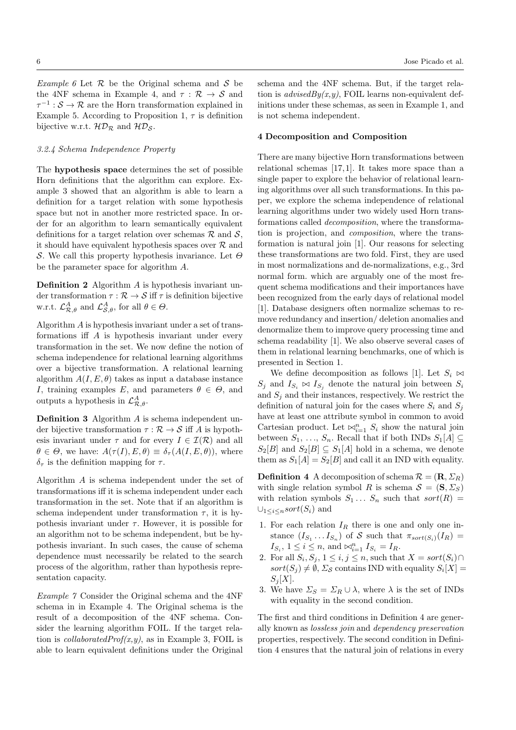Example 6 Let  $R$  be the Original schema and  $S$  be the 4NF schema in Example 4, and  $\tau : \mathcal{R} \to \mathcal{S}$  and  $\tau^{-1}: \mathcal{S} \to \mathcal{R}$  are the Horn transformation explained in Example 5. According to Proposition 1,  $\tau$  is definition bijective w.r.t.  $H\mathcal{D}_{\mathcal{R}}$  and  $H\mathcal{D}_{\mathcal{S}}$ .

## 3.2.4 Schema Independence Property

The hypothesis space determines the set of possible Horn definitions that the algorithm can explore. Example 3 showed that an algorithm is able to learn a definition for a target relation with some hypothesis space but not in another more restricted space. In order for an algorithm to learn semantically equivalent definitions for a target relation over schemas  $R$  and  $S$ , it should have equivalent hypothesis spaces over  $\mathcal R$  and S. We call this property hypothesis invariance. Let  $\Theta$ be the parameter space for algorithm A.

Definition 2 Algorithm A is hypothesis invariant under transformation  $\tau : \mathcal{R} \to \mathcal{S}$  iff  $\tau$  is definition bijective w.r.t.  $\mathcal{L}_{\mathcal{R},\theta}^A$  and  $\mathcal{L}_{\mathcal{S},\theta}^A$ , for all  $\theta \in \Theta$ .

Algorithm A is hypothesis invariant under a set of transformations iff A is hypothesis invariant under every transformation in the set. We now define the notion of schema independence for relational learning algorithms over a bijective transformation. A relational learning algorithm  $A(I, E, \theta)$  takes as input a database instance I, training examples E, and parameters  $\theta \in \Theta$ , and outputs a hypothesis in  $\mathcal{L}_{\mathcal{R},\theta}^A$ .

Definition 3 Algorithm A is schema independent under bijective transformation  $\tau : \mathcal{R} \to \mathcal{S}$  iff A is hypothesis invariant under  $\tau$  and for every  $I \in \mathcal{I}(\mathcal{R})$  and all  $\theta \in \Theta$ , we have:  $A(\tau(I), E, \theta) \equiv \delta_{\tau}(A(I, E, \theta))$ , where  $\delta_{\tau}$  is the definition mapping for  $\tau$ .

Algorithm A is schema independent under the set of transformations iff it is schema independent under each transformation in the set. Note that if an algorithm is schema independent under transformation  $\tau$ , it is hypothesis invariant under  $\tau$ . However, it is possible for an algorithm not to be schema independent, but be hypothesis invariant. In such cases, the cause of schema dependence must necessarily be related to the search process of the algorithm, rather than hypothesis representation capacity.

Example 7 Consider the Original schema and the 4NF schema in in Example 4. The Original schema is the result of a decomposition of the 4NF schema. Consider the learning algorithm FOIL. If the target relation is *collaboratedProf(x,y)*, as in Example 3, FOIL is able to learn equivalent definitions under the Original

schema and the 4NF schema. But, if the target relation is  $advisedBy(x, y)$ , FOIL learns non-equivalent definitions under these schemas, as seen in Example 1, and is not schema independent.

## 4 Decomposition and Composition

There are many bijective Horn transformations between relational schemas [17, 1]. It takes more space than a single paper to explore the behavior of relational learning algorithms over all such transformations. In this paper, we explore the schema independence of relational learning algorithms under two widely used Horn transformations called decomposition, where the transformation is projection, and composition, where the transformation is natural join [1]. Our reasons for selecting these transformations are two fold. First, they are used in most normalizations and de-normalizations, e.g., 3rd normal form. which are arguably one of the most frequent schema modifications and their importances have been recognized from the early days of relational model [1]. Database designers often normalize schemas to remove redundancy and insertion/ deletion anomalies and denormalize them to improve query processing time and schema readability [1]. We also observe several cases of them in relational learning benchmarks, one of which is presented in Section 1.

We define decomposition as follows [1]. Let  $S_i \bowtie$  $S_j$  and  $I_{S_i} \bowtie I_{S_j}$  denote the natural join between  $S_i$ and  $S_j$  and their instances, respectively. We restrict the definition of natural join for the cases where  $S_i$  and  $S_j$ have at least one attribute symbol in common to avoid Cartesian product. Let  $\bowtie_{i=1}^{n} S_i$  show the natural join between  $S_1, \ldots, S_n$ . Recall that if both INDs  $S_1[A] \subseteq$  $S_2[B]$  and  $S_2[B] \subseteq S_1[A]$  hold in a schema, we denote them as  $S_1[A] = S_2[B]$  and call it an IND with equality.

**Definition 4** A decomposition of schema  $\mathcal{R} = (\mathbf{R}, \Sigma_B)$ with single relation symbol R is schema  $S = (\mathbf{S}, \Sigma_S)$ with relation symbols  $S_1 \ldots S_n$  such that  $sort(R) =$  $\cup_{1 \leq i \leq n} sort(S_i)$  and

- 1. For each relation  $I_R$  there is one and only one instance  $(I_{S_1} \ldots I_{S_n})$  of S such that  $\pi_{sort(S_i)}(I_R) =$  $I_{S_i}$ ,  $1 \leq i \leq n$ , and  $\bowtie_{i=1}^n I_{S_i} = I_R$ .
- 2. For all  $S_i, S_j, 1 \leq i, j \leq n$ , such that  $X = sort(S_i) \cap$  $sort(S_j) \neq \emptyset$ ,  $\Sigma_{\mathcal{S}}$  contains IND with equality  $S_i[X] =$  $S_i[X]$ .
- 3. We have  $\Sigma_S = \Sigma_R \cup \lambda$ , where  $\lambda$  is the set of INDs with equality in the second condition.

The first and third conditions in Definition 4 are generally known as lossless join and dependency preservation properties, respectively. The second condition in Definition 4 ensures that the natural join of relations in every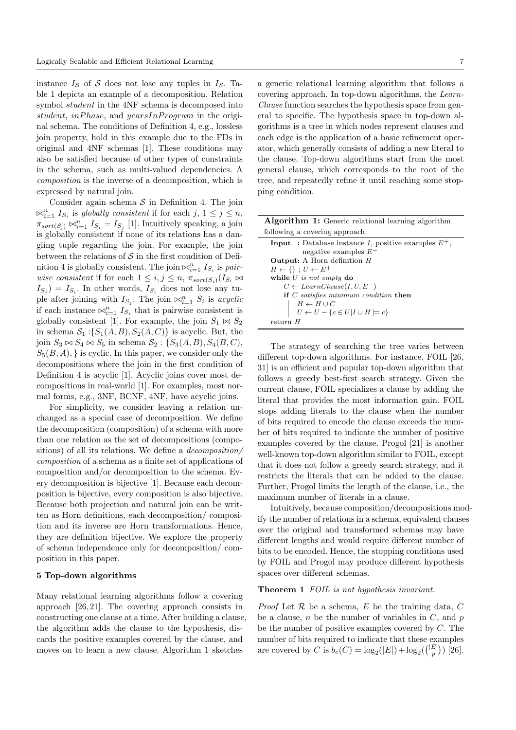instance  $I_{\mathcal{S}}$  of  $\mathcal S$  does not lose any tuples in  $I_{\mathcal{S}}$ . Table 1 depicts an example of a decomposition. Relation symbol student in the 4NF schema is decomposed into student, in Phase, and  $yearsInProgram$  in the original schema. The conditions of Definition 4, e.g., lossless join property, hold in this example due to the FDs in original and 4NF schemas [1]. These conditions may also be satisfied because of other types of constraints in the schema, such as multi-valued dependencies. A composition is the inverse of a decomposition, which is expressed by natural join.

Consider again schema  $S$  in Definition 4. The join  $\bowtie_{i=1}^{n} I_{S_i}$  is globally consistent if for each j,  $1 \leq j \leq n$ ,  $\pi_{sort(S_j)} \bowtie_{i=1}^n I_{S_i} = I_{S_j}$  [1]. Intuitively speaking, a join is globally consistent if none of its relations has a dangling tuple regarding the join. For example, the join between the relations of  $S$  in the first condition of Definition 4 is globally consistent. The join  $\bowtie_{i=1}^n I_{S_i}$  is *pair*wise consistent if for each  $1 \leq i, j \leq n, \pi_{sort(S_i)}(I_{S_i} \bowtie$  $I_{S_j}$  =  $I_{S_i}$ . In other words,  $I_{S_i}$  does not lose any tuple after joining with  $I_{S_j}$ . The join  $\bowtie_{i=1}^n S_i$  is *acyclic* if each instance  $\bowtie_{i=1}^n I_{S_i}$  that is pairwise consistent is globally consistent [1]. For example, the join  $S_1 \bowtie S_2$ in schema  $S_1$ : { $S_1(A, B)$ ,  $S_2(A, C)$ } is acyclic. But, the join  $S_3 \bowtie S_4 \bowtie S_5$  in schema  $S_2$ : { $S_3(A, B), S_4(B, C)$ ,  $S_5(B, A)$ , is cyclic. In this paper, we consider only the decompositions where the join in the first condition of Definition 4 is acyclic [1]. Acyclic joins cover most decompositions in real-world [1]. For examples, most normal forms, e.g., 3NF, BCNF, 4NF, have acyclic joins.

For simplicity, we consider leaving a relation unchanged as a special case of decomposition. We define the decomposition (composition) of a schema with more than one relation as the set of decompositions (compositions) of all its relations. We define a decomposition/ composition of a schema as a finite set of applications of composition and/or decomposition to the schema. Every decomposition is bijective [1]. Because each decomposition is bijective, every composition is also bijective. Because both projection and natural join can be written as Horn definitions, each decomposition/ composition and its inverse are Horn transformations. Hence, they are definition bijective. We explore the property of schema independence only for decomposition/ composition in this paper.

## 5 Top-down algorithms

Many relational learning algorithms follow a covering approach [26, 21]. The covering approach consists in constructing one clause at a time. After building a clause, the algorithm adds the clause to the hypothesis, discards the positive examples covered by the clause, and moves on to learn a new clause. Algorithm 1 sketches

a generic relational learning algorithm that follows a covering approach. In top-down algorithms, the Learn-Clause function searches the hypothesis space from general to specific. The hypothesis space in top-down algorithms is a tree in which nodes represent clauses and each edge is the application of a basic refinement operator, which generally consists of adding a new literal to the clause. Top-down algorithms start from the most general clause, which corresponds to the root of the tree, and repeatedly refine it until reaching some stopping condition.

 $\overline{a}$ 

The strategy of searching the tree varies between different top-down algorithms. For instance, FOIL [26, 31] is an efficient and popular top-down algorithm that follows a greedy best-first search strategy. Given the current clause, FOIL specializes a clause by adding the literal that provides the most information gain. FOIL stops adding literals to the clause when the number of bits required to encode the clause exceeds the number of bits required to indicate the number of positive examples covered by the clause. Progol [21] is another well-known top-down algorithm similar to FOIL, except that it does not follow a greedy search strategy, and it restricts the literals that can be added to the clause. Further, Progol limits the length of the clause, i.e., the maximum number of literals in a clause.

Intuitively, because composition/decompositions modify the number of relations in a schema, equivalent clauses over the original and transformed schemas may have different lengths and would require different number of bits to be encoded. Hence, the stopping conditions used by FOIL and Progol may produce different hypothesis spaces over different schemas.

## Theorem 1 FOIL is not hypothesis invariant.

*Proof* Let  $R$  be a schema,  $E$  be the training data,  $C$ be a clause,  $n$  be the number of variables in  $C$ , and  $p$ be the number of positive examples covered by  $C$ . The number of bits required to indicate that these examples are covered by C is  $b_e(C) = \log_2(|E|) + \log_2({|E| \choose p})$  [26].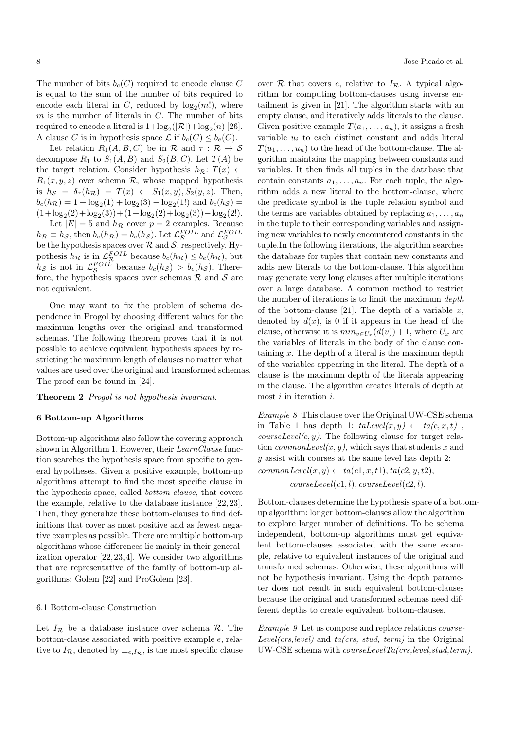The number of bits  $b_c(C)$  required to encode clause C is equal to the sum of the number of bits required to encode each literal in C, reduced by  $log_2(m!)$ , where  $m$  is the number of literals in  $C$ . The number of bits required to encode a literal is  $1 + \log_2(|\mathcal{R}|) + \log_2(n)$  [26]. A clause C is in hypothesis space  $\mathcal L$  if  $b_c(C) \leq b_e(C)$ .

Let relation  $R_1(A, B, C)$  be in  $\mathcal R$  and  $\tau : \mathcal R \to \mathcal S$ decompose  $R_1$  to  $S_1(A, B)$  and  $S_2(B, C)$ . Let  $T(A)$  be the target relation. Consider hypothesis  $h_{\mathcal{R}}: T(x) \leftarrow$  $R_1(x, y, z)$  over schema  $\mathcal{R}$ , whose mapped hypothesis is  $h_{\mathcal{S}} = \delta_{\tau}(h_{\mathcal{R}}) = T(x) \leftarrow S_1(x, y), S_2(y, z)$ . Then,  $b_c(h_{\mathcal{R}}) = 1 + \log_2(1) + \log_2(3) - \log_2(1!)$  and  $b_c(h_{\mathcal{S}}) =$  $(1 + \log_2(2) + \log_2(3)) + (1 + \log_2(2) + \log_2(3)) - \log_2(2!)$ .

Let  $|E| = 5$  and  $h_{\mathcal{R}}$  cover  $p = 2$  examples. Because  $h_{\mathcal{R}} \equiv h_{\mathcal{S}}$ , then  $b_e(h_{\mathcal{R}}) = b_e(h_{\mathcal{S}})$ . Let  $\mathcal{L}_{\mathcal{R}}^{FOIL}$  and  $\mathcal{L}_{\mathcal{S}}^{FOIL}$ <br>be the hypothesis spaces over  $\mathcal{R}$  and  $\mathcal{S}$ , respectively. Hypothesis  $h_{\mathcal{R}}$  is in  $\mathcal{L}_{\mathcal{R}}^{FOIL}$  because  $b_c(h_{\mathcal{R}}) \leq b_e(h_{\mathcal{R}})$ , but  $h_{\mathcal{S}}$  is not in  $\mathcal{L}_{\mathcal{S}}^{FOIL}$  because  $b_c(h_{\mathcal{S}}) > b_e(h_{\mathcal{S}})$ . Therefore, the hypothesis spaces over schemas  $R$  and  $S$  are not equivalent.

One may want to fix the problem of schema dependence in Progol by choosing different values for the maximum lengths over the original and transformed schemas. The following theorem proves that it is not possible to achieve equivalent hypothesis spaces by restricting the maximum length of clauses no matter what values are used over the original and transformed schemas. The proof can be found in [24].

Theorem 2 Progol is not hypothesis invariant.

#### 6 Bottom-up Algorithms

Bottom-up algorithms also follow the covering approach shown in Algorithm 1. However, their LearnClause function searches the hypothesis space from specific to general hypotheses. Given a positive example, bottom-up algorithms attempt to find the most specific clause in the hypothesis space, called bottom-clause, that covers the example, relative to the database instance [22, 23]. Then, they generalize these bottom-clauses to find definitions that cover as most positive and as fewest negative examples as possible. There are multiple bottom-up algorithms whose differences lie mainly in their generalization operator [22, 23, 4]. We consider two algorithms that are representative of the family of bottom-up algorithms: Golem [22] and ProGolem [23].

#### 6.1 Bottom-clause Construction

Let  $I_{\mathcal{R}}$  be a database instance over schema  $\mathcal{R}$ . The bottom-clause associated with positive example e, relative to  $I_{\mathcal{R}}$ , denoted by  $\perp_{e,I_{\mathcal{R}}}$ , is the most specific clause

over  $R$  that covers e, relative to  $I_R$ . A typical algorithm for computing bottom-clauses using inverse entailment is given in [21]. The algorithm starts with an empty clause, and iteratively adds literals to the clause. Given positive example  $T(a_1, \ldots, a_n)$ , it assigns a fresh variable  $u_i$  to each distinct constant and adds literal  $T(u_1, \ldots, u_n)$  to the head of the bottom-clause. The algorithm maintains the mapping between constants and variables. It then finds all tuples in the database that contain constants  $a_1, \ldots, a_n$ . For each tuple, the algorithm adds a new literal to the bottom-clause, where the predicate symbol is the tuple relation symbol and the terms are variables obtained by replacing  $a_1, \ldots, a_n$ in the tuple to their corresponding variables and assigning new variables to newly encountered constants in the tuple.In the following iterations, the algorithm searches the database for tuples that contain new constants and adds new literals to the bottom-clause. This algorithm may generate very long clauses after multiple iterations over a large database. A common method to restrict the number of iterations is to limit the maximum depth of the bottom-clause [21]. The depth of a variable  $x$ , denoted by  $d(x)$ , is 0 if it appears in the head of the clause, otherwise it is  $min_{v \in U_x} (d(v)) + 1$ , where  $U_x$  are the variables of literals in the body of the clause containing  $x$ . The depth of a literal is the maximum depth of the variables appearing in the literal. The depth of a clause is the maximum depth of the literals appearing in the clause. The algorithm creates literals of depth at most  $i$  in iteration  $i$ .

Example 8 This clause over the Original UW-CSE schema in Table 1 has depth 1:  $taLevel(x, y) \leftarrow ta(c, x, t)$ ,  $courseLevel(c, y)$ . The following clause for target relation *commonLevel(x, y)*, which says that students x and  $y$  assist with courses at the same level has depth 2:  $commonLevel(x, y) \leftarrow ta(c1, x, t1), ta(c2, y, t2),$ 

 $courseLevel(c1, l), courseLevel(c2, l).$ 

Bottom-clauses determine the hypothesis space of a bottomup algorithm: longer bottom-clauses allow the algorithm to explore larger number of definitions. To be schema independent, bottom-up algorithms must get equivalent bottom-clauses associated with the same example, relative to equivalent instances of the original and transformed schemas. Otherwise, these algorithms will not be hypothesis invariant. Using the depth parameter does not result in such equivalent bottom-clauses because the original and transformed schemas need different depths to create equivalent bottom-clauses.

Example 9 Let us compose and replace relations course-Level(crs, level) and  $ta(crs, stud, term)$  in the Original UW-CSE schema with *courseLevelTa(crs,level,stud,term)*.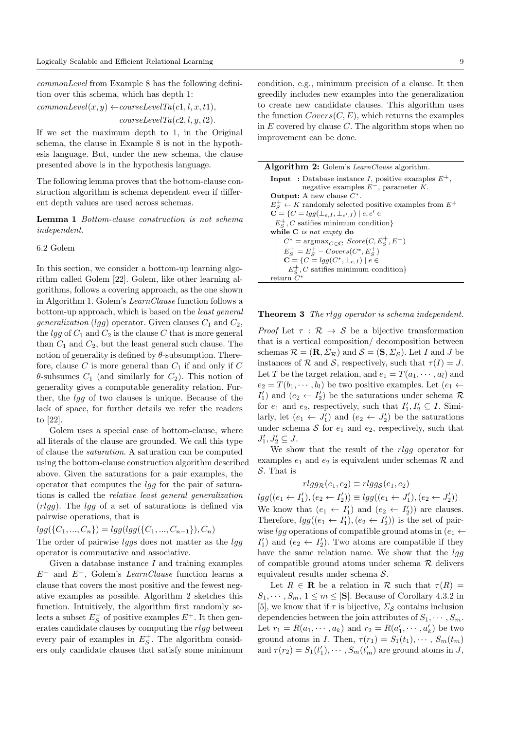commonLevel from Example 8 has the following definition over this schema, which has depth 1:

 $commonLevel(x, y) \leftarrow courseLevelTa(c1, l, x, t1),$  $courseLevelTa(c2, l, y, t2).$ 

If we set the maximum depth to 1, in the Original schema, the clause in Example 8 is not in the hypothesis language. But, under the new schema, the clause presented above is in the hypothesis language.

The following lemma proves that the bottom-clause construction algorithm is schema dependent even if different depth values are used across schemas.

Lemma 1 Bottom-clause construction is not schema independent.

## 6.2 Golem

In this section, we consider a bottom-up learning algorithm called Golem [22]. Golem, like other learning algorithms, follows a covering approach, as the one shown in Algorithm 1. Golem's LearnClause function follows a bottom-up approach, which is based on the least general generalization (lgg) operator. Given clauses  $C_1$  and  $C_2$ , the  $\log g$  of  $C_1$  and  $C_2$  is the clause C that is more general than  $C_1$  and  $C_2$ , but the least general such clause. The notion of generality is defined by  $\theta$ -subsumption. Therefore, clause C is more general than  $C_1$  if and only if C  $\theta$ -subsumes  $C_1$  (and similarly for  $C_2$ ). This notion of generality gives a computable generality relation. Further, the lgg of two clauses is unique. Because of the lack of space, for further details we refer the readers to [22].

Golem uses a special case of bottom-clause, where all literals of the clause are grounded. We call this type of clause the saturation. A saturation can be computed using the bottom-clause construction algorithm described above. Given the saturations for a pair examples, the operator that computes the lgg for the pair of saturations is called the relative least general generalization (rlgg). The lgg of a set of saturations is defined via pairwise operations, that is

 $lgg({C_1, ..., C_n}) = lg(gg({c_1, ..., C_{n-1}}), C_n)$ 

The order of pairwise *lggs* does not matter as the *lgg* operator is commutative and associative.

Given a database instance  $I$  and training examples  $E^+$  and  $E^-$ , Golem's *LearnClause* function learns a clause that covers the most positive and the fewest negative examples as possible. Algorithm 2 sketches this function. Intuitively, the algorithm first randomly selects a subset  $E_S^+$  of positive examples  $E^+$ . It then generates candidate clauses by computing the rlgg between every pair of examples in  $E_S^+$ . The algorithm considers only candidate clauses that satisfy some minimum

condition, e.g., minimum precision of a clause. It then greedily includes new examples into the generalization to create new candidate clauses. This algorithm uses the function  $Covers(C, E)$ , which returns the examples in  $E$  covered by clause  $C$ . The algorithm stops when no improvement can be done.

| Algorithm 2: Golem's LearnClause algorithm.                         |
|---------------------------------------------------------------------|
| <b>Input</b> : Database instance I, positive examples $E^+$ ,       |
| negative examples $E^-$ , parameter K.                              |
| <b>Output:</b> A new clause $C^*$ .                                 |
| $E_S^+ \leftarrow K$ randomly selected positive examples from $E^+$ |
| ${\bf C} = \{C = lgg(\perp_{e,I}, \perp_{e'I}) \mid e, e' \in$      |
| $E_S^+, C$ satifies minimum condition}                              |
| while $C$ is not empty $do$                                         |
| $C^* = \text{argmax}_{C \in \mathbf{C}} Score(C, E_S^+, E^-)$       |
| $E_S^+ = E_S^+ - \text{Covers}(C^*, E_S^+)$                         |
| $C = \{C = l \cdot q} (C^*, \perp_{e} I) \mid e \in$                |
| $E_S^+$ , C satifies minimum condition}                             |
| return $C^*$                                                        |

Theorem 3 The rigg operator is schema independent.

*Proof* Let  $\tau : \mathcal{R} \to \mathcal{S}$  be a bijective transformation that is a vertical composition/ decomposition between schemas  $\mathcal{R} = (\mathbf{R}, \Sigma_{\mathcal{R}})$  and  $\mathcal{S} = (\mathbf{S}, \Sigma_{\mathcal{S}})$ . Let I and J be instances of R and S, respectively, such that  $\tau(I) = J$ . Let T be the target relation, and  $e_1 = T(a_1, \dots, a_l)$  and  $e_2 = T(b_1, \dots, b_l)$  be two positive examples. Let  $(e_1 \leftarrow$  $I'_1$ ) and  $(e_2 \leftarrow I'_2)$  be the saturations under schema R for  $e_1$  and  $e_2$ , respectively, such that  $I'_1, I'_2 \subseteq I$ . Similarly, let  $(e_1 \leftarrow J'_1)$  and  $(e_2 \leftarrow J'_2)$  be the saturations under schema  $S$  for  $e_1$  and  $e_2$ , respectively, such that  $J_1',J_2'\subseteq J.$ 

We show that the result of the *rlgg* operator for examples  $e_1$  and  $e_2$  is equivalent under schemas  $\mathcal R$  and S. That is

$$
rlgg_{\mathcal{R}}(e_1, e_2) \equiv rlgg_{\mathcal{S}}(e_1, e_2)
$$

 $lgg((e_1 \leftarrow I'_1), (e_2 \leftarrow I'_2)) \equiv lg(g((e_1 \leftarrow J'_1), (e_2 \leftarrow J'_2))$ We know that  $(e_1 \leftarrow I'_1)$  and  $(e_2 \leftarrow I'_2)$  are clauses. Therefore,  $lgg((e_1 \leftarrow I'_1), (e_2 \leftarrow I'_2))$  is the set of pairwise lgg operations of compatible ground atoms in  $(e_1 \leftarrow$  $I'_1$  and  $(e_2 \leftarrow I'_2)$ . Two atoms are compatible if they have the same relation name. We show that the lgg of compatible ground atoms under schema  $R$  delivers equivalent results under schema S.

Let  $R \in \mathbf{R}$  be a relation in  $\mathcal R$  such that  $\tau(R) =$  $S_1, \dots, S_m, 1 \leq m \leq |\mathbf{S}|$ . Because of Corollary 4.3.2 in [5], we know that if  $\tau$  is bijective,  $\Sigma_{\mathcal{S}}$  contains inclusion dependencies between the join attributes of  $S_1, \cdots, S_m$ . Let  $r_1 = R(a_1, \dots, a_k)$  and  $r_2 = R(a'_1, \dots, a'_k)$  be two ground atoms in I. Then,  $\tau(r_1) = S_1(t_1), \cdots, S_m(t_m)$ and  $\tau(r_2) = S_1(t'_1), \cdots, S_m(t'_m)$  are ground atoms in J,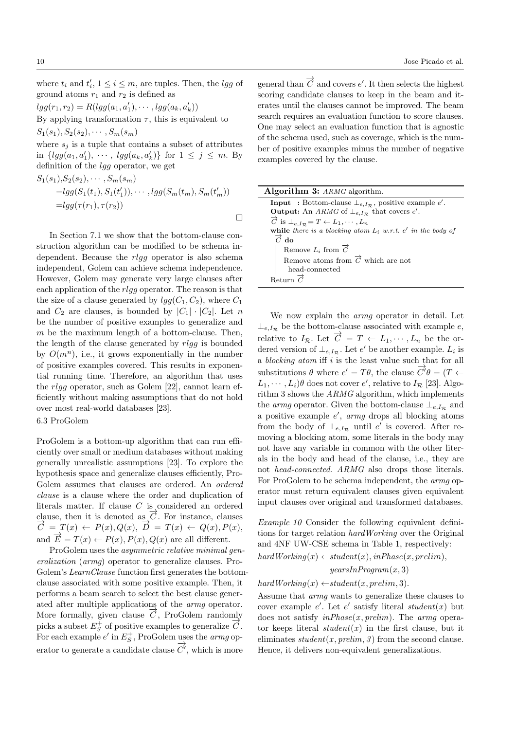where  $t_i$  and  $t'_i$ ,  $1 \leq i \leq m$ , are tuples. Then, the *lgg* of ground atoms  $r_1$  and  $r_2$  is defined as  $lgg(r_1, r_2) = R(lgg(a_1, a'_1), \cdots, lgg(a_k, a'_k))$ By applying transformation  $\tau$ , this is equivalent to  $S_1(s_1), S_2(s_2), \cdots, S_m(s_m)$ 

where  $s_i$  is a tuple that contains a subset of attributes in  $\{lgg(a_1, a'_1), \dots, lgg(a_k, a'_k)\}\$ for  $1 \leq j \leq m$ . By definition of the lgg operator, we get

$$
S_1(s_1), S_2(s_2), \cdots, S_m(s_m)
$$
  
= $lgg(S_1(t_1), S_1(t'_1)), \cdots, lg(g(S_m(t_m), S_m(t'_m)))$   
= $lgg(\tau(r_1), \tau(r_2))$ 

In Section 7.1 we show that the bottom-clause construction algorithm can be modified to be schema independent. Because the *rlgg* operator is also schema independent, Golem can achieve schema independence. However, Golem may generate very large clauses after each application of the  $r \log q$  operator. The reason is that the size of a clause generated by  $lgg(C_1, C_2)$ , where  $C_1$ and  $C_2$  are clauses, is bounded by  $|C_1| \cdot |C_2|$ . Let n be the number of positive examples to generalize and  $m$  be the maximum length of a bottom-clause. Then, the length of the clause generated by rlgg is bounded by  $O(m^n)$ , i.e., it grows exponentially in the number of positive examples covered. This results in exponential running time. Therefore, an algorithm that uses the *rlgg* operator, such as Golem  $[22]$ , cannot learn efficiently without making assumptions that do not hold over most real-world databases [23].

## 6.3 ProGolem

ProGolem is a bottom-up algorithm that can run efficiently over small or medium databases without making generally unrealistic assumptions [23]. To explore the hypothesis space and generalize clauses efficiently, Pro-Golem assumes that clauses are ordered. An ordered clause is a clause where the order and duplication of literals matter. If clause  $C$  is considered an ordered clause, then it is denoted as  $\overrightarrow{C}$ . For instance, clauses  $\overrightarrow{C} = T(x) \leftarrow P(x), Q(x), \overrightarrow{D} = T(x) \leftarrow Q(x), P(x),$ and  $\vec{E} = T(x) \leftarrow P(x), P(x), Q(x)$  are all different.

ProGolem uses the asymmetric relative minimal generalization (armg) operator to generalize clauses. Pro-Golem's *LearnClause* function first generates the bottomclause associated with some positive example. Then, it performs a beam search to select the best clause generated after multiple applications of the armg operator. More formally, given clause  $\check{C}$ , ProGolem randomly where formally, given clause  $\cup$ , I locolem randomly picks a subset  $E_S^+$  of positive examples to generalize  $\vec{C}$ . picks a subset  $E_S$  of positive examples to generalize  $\infty$ .<br>For each example e' in  $E_S^+$ , ProGolem uses the *armg* operator to generate a candidate clause  $\overrightarrow{C}$ , which is more

general than  $\overrightarrow{C}$  and covers  $e'$ . It then selects the highest scoring candidate clauses to keep in the beam and iterates until the clauses cannot be improved. The beam search requires an evaluation function to score clauses. One may select an evaluation function that is agnostic of the schema used, such as coverage, which is the number of positive examples minus the number of negative examples covered by the clause.

| <b>Algorithm 3:</b> $ARMG$ algorithm.                                               |
|-------------------------------------------------------------------------------------|
| <b>Input</b> : Bottom-clause $\perp_{e,I_{\mathcal{R}}}$ , positive example e'.     |
| <b>Output:</b> An ARMG of $\perp_{e,I_{\mathcal{R}}}$ that covers e'.               |
| $\overrightarrow{C}$ is $\perp_{e,I_{\mathcal{R}}} = T \leftarrow L_1, \cdots, L_n$ |
| while there is a blocking atom $L_i$ w.r.t. e' in the body of                       |
| $\vec{c}$ do                                                                        |
| Remove $L_i$ from $\vec{C}$                                                         |
| Remove atoms from $\vec{C}$ which are not                                           |
| head-connected                                                                      |
| Return $\vec{c}$                                                                    |

We now explain the armg operator in detail. Let  $\perp_{e,I_{\mathcal{R}}}$  be the bottom-clause associated with example e, relative to  $I_R$ . Let  $\overrightarrow{C} = T \leftarrow L_1, \cdots, L_n$  be the ordered version of  $\perp_{e,I_{\mathcal{R}}}$ . Let  $e'$  be another example.  $L_i$  is a blocking atom iff  $i$  is the least value such that for all substitutions  $\theta$  where  $e' = T\theta$ , the clause  $\overrightarrow{C'}\theta = (T \leftarrow$  $L_1, \dots, L_i$ ) $\theta$  does not cover  $e'$ , relative to  $I_{\mathcal{R}}$  [23]. Algorithm 3 shows the  $ARMG$  algorithm, which implements the *armg* operator. Given the bottom-clause  $\perp_{e,I_{\mathcal{R}}}$  and a positive example  $e'$ ,  $armg$  drops all blocking atoms from the body of  $\perp_{e,I_{\mathcal{R}}}$  until  $e'$  is covered. After removing a blocking atom, some literals in the body may not have any variable in common with the other literals in the body and head of the clause, i.e., they are not head-connected. ARMG also drops those literals. For ProGolem to be schema independent, the armg operator must return equivalent clauses given equivalent input clauses over original and transformed databases.

Example 10 Consider the following equivalent definitions for target relation hardWorking over the Original and 4NF UW-CSE schema in Table 1, respectively:

 $hard Working(x) \leftarrow student(x), inPhase(x, prelim),$  $yearsInProgram(x, 3)$ 

 $hardWorking(x) \leftarrow student(x, prelim, 3).$ 

Assume that armg wants to generalize these clauses to cover example  $e'$ . Let  $e'$  satisfy literal student(x) but does not satisfy  $inPhase(x, prelim)$ . The army operator keeps literal  $student(x)$  in the first clause, but it eliminates  $student(x, prelim, 3)$  from the second clause. Hence, it delivers non-equivalent generalizations.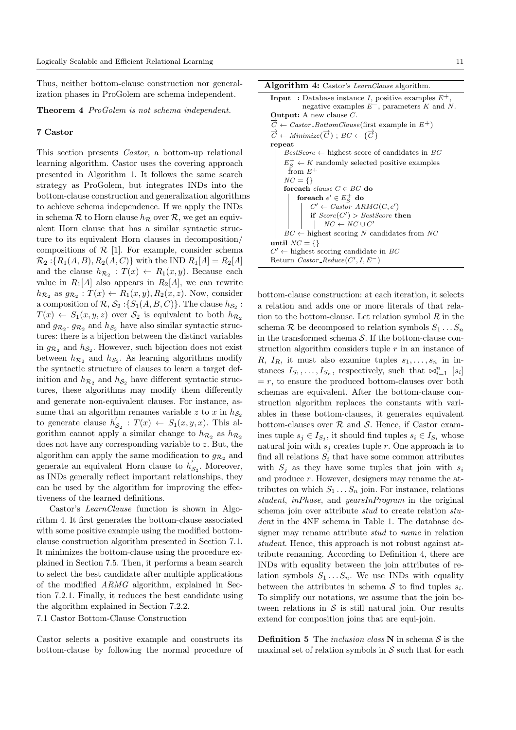Thus, neither bottom-clause construction nor generalization phases in ProGolem are schema independent.

Theorem 4 ProGolem is not schema independent.

#### 7 Castor

This section presents Castor, a bottom-up relational learning algorithm. Castor uses the covering approach presented in Algorithm 1. It follows the same search strategy as ProGolem, but integrates INDs into the bottom-clause construction and generalization algorithms to achieve schema independence. If we apply the INDs in schema R to Horn clause  $h_{\mathcal{R}}$  over R, we get an equivalent Horn clause that has a similar syntactic structure to its equivalent Horn clauses in decomposition/ compositions of  $\mathcal{R}$  [1]. For example, consider schema  $\mathcal{R}_2$ :{ $R_1(A, B), R_2(A, C)$ } with the IND  $R_1[A] = R_2[A]$ and the clause  $h_{\mathcal{R}_2} : T(x) \leftarrow R_1(x, y)$ . Because each value in  $R_1[A]$  also appears in  $R_2[A]$ , we can rewrite  $h_{\mathcal{R}_2}$  as  $g_{\mathcal{R}_2} : T(x) \leftarrow R_1(x, y), R_2(x, z)$ . Now, consider a composition of  $\mathcal{R}, \mathcal{S}_2$  : $\{S_1(A, B, C)\}\$ . The clause  $h_{\mathcal{S}_2}$  :  $T(x) \leftarrow S_1(x, y, z)$  over  $S_2$  is equivalent to both  $h_{\mathcal{R}_2}$ and  $g_{\mathcal{R}_2}$ ,  $g_{\mathcal{R}_2}$  and  $h_{\mathcal{S}_2}$  have also similar syntactic structures: there is a bijection between the distinct variables in  $g_{\mathcal{R}_2}$  and  $h_{\mathcal{S}_2}$ . However, such bijection does not exist between  $h_{\mathcal{R}_2}$  and  $h_{\mathcal{S}_2}$ . As learning algorithms modify the syntactic structure of clauses to learn a target definition and  $h_{\mathcal{R}_2}$  and  $h_{\mathcal{S}_2}$  have different syntactic structures, these algorithms may modify them differently and generate non-equivalent clauses. For instance, assume that an algorithm renames variable z to x in  $h_{\mathcal{S}_2}$ to generate clause  $h'_{\mathcal{S}_2} : T(x) \leftarrow S_1(x, y, x)$ . This algorithm cannot apply a similar change to  $h_{\mathcal{R}_2}$  as  $h_{\mathcal{R}_2}$ does not have any corresponding variable to z. But, the algorithm can apply the same modification to  $g_{\mathcal{R}_2}$  and generate an equivalent Horn clause to  $h'_{\mathcal{S}_2}$ . Moreover, as INDs generally reflect important relationships, they can be used by the algorithm for improving the effectiveness of the learned definitions.

Castor's LearnClause function is shown in Algorithm 4. It first generates the bottom-clause associated with some positive example using the modified bottomclause construction algorithm presented in Section 7.1. It minimizes the bottom-clause using the procedure explained in Section 7.5. Then, it performs a beam search to select the best candidate after multiple applications of the modified ARMG algorithm, explained in Section 7.2.1. Finally, it reduces the best candidate using the algorithm explained in Section 7.2.2.

7.1 Castor Bottom-Clause Construction

Castor selects a positive example and constructs its bottom-clause by following the normal procedure of

| <b>Algorithm 4:</b> Castor's <i>LearnClause</i> algorithm.                   |  |  |  |  |
|------------------------------------------------------------------------------|--|--|--|--|
| <b>Input</b> : Database instance I, positive examples $E^+$ ,                |  |  |  |  |
| negative examples $E^-$ , parameters K and N.                                |  |  |  |  |
| <b>Output:</b> A new clause $C$ .                                            |  |  |  |  |
| $\overrightarrow{C} \leftarrow$ Castor_BottomClause(first example in $E^+$ ) |  |  |  |  |
| $\vec{C} \leftarrow Minimize(\vec{C}) : BC \leftarrow {\vec{C}}$             |  |  |  |  |
| repeat                                                                       |  |  |  |  |
| $BestScore \leftarrow$ highest score of candidates in BC                     |  |  |  |  |
| $E_s^+ \leftarrow K$ randomly selected positive examples                     |  |  |  |  |
| from $E^+$                                                                   |  |  |  |  |
| $NC = \{\}$                                                                  |  |  |  |  |
| foreach <i>clause</i> $C \in BC$ do                                          |  |  |  |  |
| foreach $e' \in E_S^+$ do                                                    |  |  |  |  |
| $C' \leftarrow Castor\_ARMG(C, e')$                                          |  |  |  |  |
| if $Score(C') > BestScore$ then                                              |  |  |  |  |
| $  \quad NC \leftarrow NC \cup C'$                                           |  |  |  |  |
| $BC \leftarrow$ highest scoring N candidates from NC                         |  |  |  |  |
| until $NC = \{\}$                                                            |  |  |  |  |
| $C' \leftarrow$ highest scoring candidate in BC                              |  |  |  |  |
| Return <i>Castor_Reduce</i> ( $C', I, E^-$ )                                 |  |  |  |  |

bottom-clause construction: at each iteration, it selects a relation and adds one or more literals of that relation to the bottom-clause. Let relation symbol  $R$  in the schema  $\mathcal R$  be decomposed to relation symbols  $S_1 \dots S_n$ in the transformed schema  $S$ . If the bottom-clause construction algorithm considers tuple  $r$  in an instance of R,  $I_R$ , it must also examine tuples  $s_1, \ldots, s_n$  in instances  $I_{S_1}, \ldots, I_{S_n}$ , respectively, such that  $\bowtie_{i=1}^n [s_i]$  $r = r$ , to ensure the produced bottom-clauses over both schemas are equivalent. After the bottom-clause construction algorithm replaces the constants with variables in these bottom-clauses, it generates equivalent bottom-clauses over  $R$  and  $S$ . Hence, if Castor examines tuple  $s_j \in I_{S_j}$ , it should find tuples  $s_i \in I_{S_i}$  whose natural join with  $s_j$  creates tuple r. One approach is to find all relations  $S_i$  that have some common attributes with  $S_i$  as they have some tuples that join with  $s_i$ and produce r. However, designers may rename the attributes on which  $S_1 \ldots S_n$  join. For instance, relations student, inPhase, and yearsInProgram in the original schema join over attribute *stud* to create relation *stu*dent in the 4NF schema in Table 1. The database designer may rename attribute stud to name in relation student. Hence, this approach is not robust against attribute renaming. According to Definition 4, there are INDs with equality between the join attributes of relation symbols  $S_1 \ldots S_n$ . We use INDs with equality between the attributes in schema  $S$  to find tuples  $s_i$ . To simplify our notations, we assume that the join between relations in  $\mathcal S$  is still natural join. Our results extend for composition joins that are equi-join.

**Definition 5** The inclusion class N in schema  $S$  is the maximal set of relation symbols in  $S$  such that for each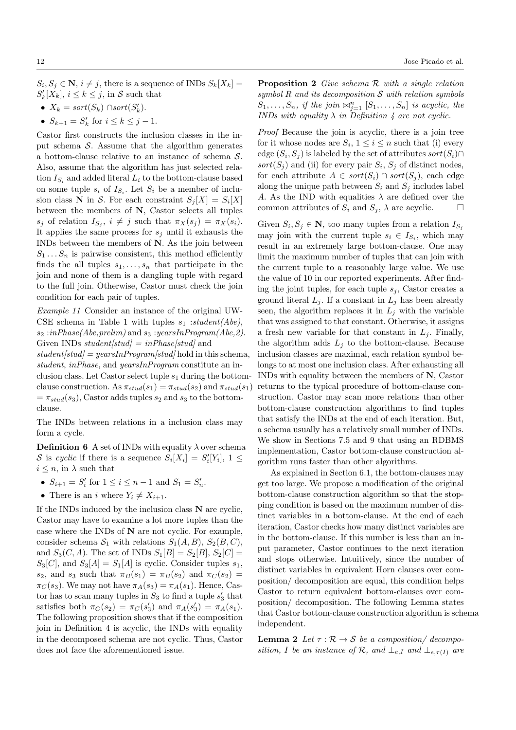$S_i, S_j \in \mathbf{N}, i \neq j$ , there is a sequence of INDs  $S_k[X_k] =$  $S'_{k}[X_{k}], i \leq k \leq j$ , in S such that

- $X_k = sort(S_k) \cap sort(S'_k).$
- $S_{k+1} = S'_k$  for  $i \le k \le j-1$ .

Castor first constructs the inclusion classes in the input schema  $\mathcal S$ . Assume that the algorithm generates a bottom-clause relative to an instance of schema S. Also, assume that the algorithm has just selected relation  $I_{S_i}$  and added literal  $L_i$  to the bottom-clause based on some tuple  $s_i$  of  $I_{S_i}$ . Let  $S_i$  be a member of inclusion class N in S. For each constraint  $S_j[X] = S_i[X]$ between the members of N, Castor selects all tuples  $s_j$  of relation  $I_{S_j}$ ,  $i \neq j$  such that  $\pi_X(s_j) = \pi_X(s_i)$ . It applies the same process for  $s_i$  until it exhausts the INDs between the members of N. As the join between  $S_1 \ldots S_n$  is pairwise consistent, this method efficiently finds the all tuples  $s_1, \ldots, s_n$  that participate in the join and none of them is a dangling tuple with regard to the full join. Otherwise, Castor must check the join condition for each pair of tuples.

Example 11 Consider an instance of the original UW-CSE schema in Table 1 with tuples  $s_1$  : student(Abe),  $s_2$ :inPhase(Abe,prelim) and  $s_3$ :yearsInProgram(Abe,2). Given INDs student/stud $\hat{j} = inPhase[stud]$  and  $student[stud] = yearsInProgram[stud]$  hold in this schema, student, inPhase, and yearsInProgram constitute an inclusion class. Let Castor select tuple  $s_1$  during the bottomclause construction. As  $\pi_{stud}(s_1) = \pi_{stud}(s_2)$  and  $\pi_{stud}(s_1)$  $=\pi_{stud}(s_3)$ , Castor adds tuples  $s_2$  and  $s_3$  to the bottomclause.

The INDs between relations in a inclusion class may form a cycle.

**Definition 6** A set of INDs with equality  $\lambda$  over schema S is cyclic if there is a sequence  $S_i[X_i] = S'_i[Y_i]$ ,  $1 \leq$  $i \leq n$ , in  $\lambda$  such that

- $S_{i+1} = S_i'$  for  $1 \le i \le n-1$  and  $S_1 = S_n'$ .
- There is an i where  $Y_i \neq X_{i+1}$ .

If the INDs induced by the inclusion class  $N$  are cyclic, Castor may have to examine a lot more tuples than the case where the INDs of N are not cyclic. For example, consider schema  $S_1$  with relations  $S_1(A, B)$ ,  $S_2(B, C)$ , and  $S_3(C, A)$ . The set of INDs  $S_1[B] = S_2[B], S_2[C] =$  $S_3[C]$ , and  $S_3[A] = S_1[A]$  is cyclic. Consider tuples  $s_1$ ,  $s_2$ , and  $s_3$  such that  $\pi_B(s_1) = \pi_B(s_2)$  and  $\pi_C(s_2) =$  $\pi_C(s_3)$ . We may not have  $\pi_A(s_3) = \pi_A(s_1)$ . Hence, Castor has to scan many tuples in  $S_3$  to find a tuple  $s'_3$  that satisfies both  $\pi_C(s_2) = \pi_C(s_3')$  and  $\pi_A(s_3') = \pi_A(s_1)$ . The following proposition shows that if the composition join in Definition 4 is acyclic, the INDs with equality in the decomposed schema are not cyclic. Thus, Castor does not face the aforementioned issue.

**Proposition 2** Give schema  $\mathcal{R}$  with a single relation symbol  $R$  and its decomposition  $S$  with relation symbols  $S_1, \ldots, S_n$ , if the join  $\bowtie_{j=1}^n [S_1, \ldots, S_n]$  is acyclic, the INDs with equality  $\lambda$  in Definition 4 are not cyclic.

Proof Because the join is acyclic, there is a join tree for it whose nodes are  $S_i$ ,  $1 \leq i \leq n$  such that (i) every edge  $(S_i, S_j)$  is labeled by the set of attributes  $sort(S_i) \cap$ sort( $S_j$ ) and (ii) for every pair  $S_i$ ,  $S_j$  of distinct nodes, for each attribute  $A \in sort(S_i) \cap sort(S_j)$ , each edge along the unique path between  $S_i$  and  $S_j$  includes label A. As the IND with equalities  $\lambda$  are defined over the common attributes of  $S_i$  and  $S_j$ ,  $\lambda$  are acyclic.  $\Box$ 

Given  $S_i, S_j \in \mathbb{N}$ , too many tuples from a relation  $I_{S_j}$ may join with the current tuple  $s_i \in I_{S_i}$ , which may result in an extremely large bottom-clause. One may limit the maximum number of tuples that can join with the current tuple to a reasonably large value. We use the value of 10 in our reported experiments. After finding the joint tuples, for each tuple  $s_i$ , Castor creates a ground literal  $L_i$ . If a constant in  $L_i$  has been already seen, the algorithm replaces it in  $L_i$  with the variable that was assigned to that constant. Otherwise, it assigns a fresh new variable for that constant in  $L_i$ . Finally, the algorithm adds  $L_j$  to the bottom-clause. Because inclusion classes are maximal, each relation symbol belongs to at most one inclusion class. After exhausting all INDs with equality between the members of N, Castor returns to the typical procedure of bottom-clause construction. Castor may scan more relations than other bottom-clause construction algorithms to find tuples that satisfy the INDs at the end of each iteration. But, a schema usually has a relatively small number of INDs. We show in Sections 7.5 and 9 that using an RDBMS implementation, Castor bottom-clause construction algorithm runs faster than other algorithms.

As explained in Section 6.1, the bottom-clauses may get too large. We propose a modification of the original bottom-clause construction algorithm so that the stopping condition is based on the maximum number of distinct variables in a bottom-clause. At the end of each iteration, Castor checks how many distinct variables are in the bottom-clause. If this number is less than an input parameter, Castor continues to the next iteration and stops otherwise. Intuitively, since the number of distinct variables in equivalent Horn clauses over composition/ decomposition are equal, this condition helps Castor to return equivalent bottom-clauses over composition/ decomposition. The following Lemma states that Castor bottom-clause construction algorithm is schema independent.

**Lemma 2** Let  $\tau : \mathcal{R} \to \mathcal{S}$  be a composition/ decomposition, I be an instance of R, and  $\perp_{e,I}$  and  $\perp_{e,\tau(I)}$  are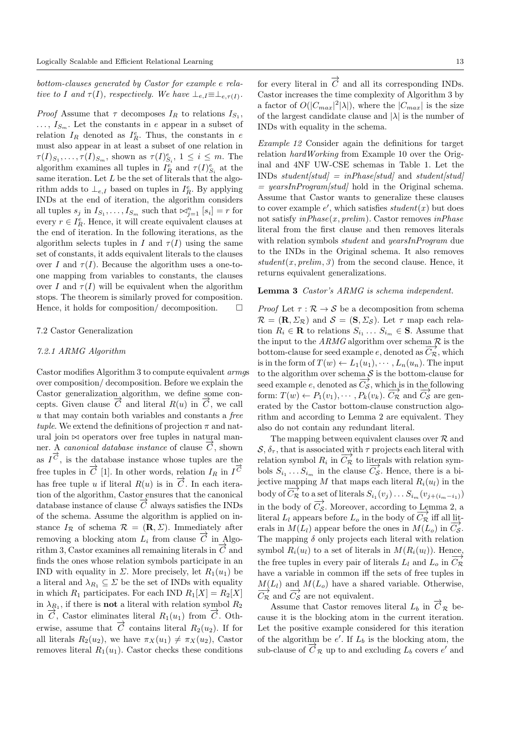bottom-clauses generated by Castor for example e relative to I and  $\tau(I)$ , respectively. We have  $\bot_{e,I} \equiv \bot_{e,\tau(I)}$ .

*Proof* Assume that  $\tau$  decomposes  $I_R$  to relations  $I_{S_1}$ ,  $\ldots, I_{S_m}$ . Let the constants in e appear in a subset of relation  $I_R$  denoted as  $I_R^e$ . Thus, the constants in e must also appear in at least a subset of one relation in  $\tau(I)_{S_1}, \ldots, \tau(I)_{S_m}$ , shown as  $\tau(I)_{S_i}^e$ ,  $1 \leq i \leq m$ . The algorithm examines all tuples in  $I_R^e$  and  $\tau(I)_{S_i}^e$  at the same iteration. Let  $L$  be the set of literals that the algorithm adds to  $\perp_{e,I}$  based on tuples in  $I_R^e$ . By applying INDs at the end of iteration, the algorithm considers all tuples  $s_j$  in  $I_{S_1}, \ldots, I_{S_m}$  such that  $\bowtie_{j=1}^n [s_i] = r$  for every  $r \in I_R^e$ . Hence, it will create equivalent clauses at the end of iteration. In the following iterations, as the algorithm selects tuples in I and  $\tau(I)$  using the same set of constants, it adds equivalent literals to the clauses over I and  $\tau(I)$ . Because the algorithm uses a one-toone mapping from variables to constants, the clauses over I and  $\tau(I)$  will be equivalent when the algorithm stops. The theorem is similarly proved for composition. Hence, it holds for composition/ decomposition.  $\square$ 

## 7.2 Castor Generalization

## 7.2.1 ARMG Algorithm

Castor modifies Algorithm 3 to compute equivalent armgs over composition/ decomposition. Before we explain the Castor generalization algorithm, we define some concepts. Given clause  $\overrightarrow{C}$  and literal  $R(u)$  in  $\overrightarrow{C}$ , we call  $u$  that may contain both variables and constants a free tuple. We extend the definitions of projection  $\pi$  and natural join  $\bowtie$  operators over free tuples in natural manner. A canonical database instance of clause  $\overline{C}$ , shown as  $I^{\vec{C}}$ , is the database instance whose tuples are the free tuples in  $\vec{C}$  [1]. In other words, relation  $I_R$  in  $I^{\vec{C}}$ has free tuple u if literal  $R(u)$  is in  $\vec{C}$ . In each iteration of the algorithm, Castor ensures that the canonical database instance of clause  $\overline{C}$  always satisfies the INDs of the schema. Assume the algorithm is applied on instance  $I_{\mathcal{R}}$  of schema  $\mathcal{R} = (\mathbf{R}, \Sigma)$ . Immediately after removing a blocking atom  $L_i$  from clause  $\vec{C}$  in Algorithm 3, Castor examines all remaining literals in  $\dot{C}$  and finds the ones whose relation symbols participate in an IND with equality in  $\Sigma$ . More precisely, let  $R_1(u_1)$  be a literal and  $\lambda_{R_1} \subseteq \Sigma$  be the set of INDs with equality in which  $R_1$  participates. For each IND  $R_1[X] = R_2[X]$ in  $\lambda_{R_1}$ , if there is **not** a literal with relation symbol  $R_2$ in  $\overrightarrow{C}$ , Castor eliminates literal  $R_1(u_1)$  from  $\overrightarrow{C}$ . Otherwise, assume that  $\vec{C}$  contains literal  $R_2(u_2)$ . If for all literals  $R_2(u_2)$ , we have  $\pi_X(u_1) \neq \pi_X(u_2)$ , Castor removes literal  $R_1(u_1)$ . Castor checks these conditions

for every literal in  $\vec{C}$  and all its corresponding INDs. Castor increases the time complexity of Algorithm 3 by a factor of  $O(|C_{max}|^2|\lambda|)$ , where the  $|C_{max}|$  is the size of the largest candidate clause and  $|\lambda|$  is the number of INDs with equality in the schema.

Example 12 Consider again the definitions for target relation hardWorking from Example 10 over the Original and 4NF UW-CSE schemas in Table 1. Let the INDs student[stud] = inPhase[stud] and student[stud]  $= \text{yearsInProgram}[\text{stud}]$  hold in the Original schema. Assume that Castor wants to generalize these clauses to cover example  $e'$ , which satisfies  $student(x)$  but does not satisfy  $inPhase(x, prelim)$ . Castor removes  $inPhase$ literal from the first clause and then removes literals with relation symbols *student* and *yearsInProgram* due to the INDs in the Original schema. It also removes student(x, prelim, 3) from the second clause. Hence, it returns equivalent generalizations.

## Lemma 3 Castor's ARMG is schema independent.

*Proof* Let  $\tau : \mathcal{R} \to \mathcal{S}$  be a decomposition from schema  $\mathcal{R} = (\mathbf{R}, \Sigma_{\mathcal{R}})$  and  $\mathcal{S} = (\mathbf{S}, \Sigma_{\mathcal{S}})$ . Let  $\tau$  map each relation  $R_i \in \mathbf{R}$  to relations  $S_{i_1} \ldots S_{i_m} \in \mathbf{S}$ . Assume that the input to the  $ARMG$  algorithm over schema  $R$  is the bottom-clause for seed example e, denoted as  $C_{\mathcal{R}}$ , which is in the form of  $T(w) \leftarrow L_1(u_1), \cdots, L_n(u_n)$ . The input to the algorithm over schema  $S$  is the bottom-clause for seed example e, denoted as  $\overrightarrow{C_s}$ , which is in the following form:  $T(w) \leftarrow P_1(v_1), \cdots, P_k(v_k)$ .  $\overrightarrow{C_R}$  and  $\overrightarrow{C_S}$  are generated by the Castor bottom-clause construction algorithm and according to Lemma 2 are equivalent. They also do not contain any redundant literal.

The mapping between equivalent clauses over  $R$  and  $S, \delta_{\tau}$ , that is associated with  $\tau$  projects each literal with  $\overrightarrow{C}$ ,  $\overrightarrow{C}_{\tau}$ , that is associated with r projects each neeral with relation symbols  $S_{i_1}$ ...  $S_{i_m}$  in the clause  $\overrightarrow{C_S}$ . Hence, there is a bijective mapping M that maps each literal  $R_i(u_l)$  in the body of  $\overrightarrow{C_R}$  to a set of literals  $S_{i_1}(v_j) \dots S_{i_m}(v_{j+(i_m-i_1)})$ in the body of  $\overrightarrow{C_s}$ . Moreover, according to Lemma 2, a literal  $L_l$  appears before  $L_o$  in the body of  $C_R$  iff all literals in  $M(L_l)$  appear before the ones in  $M(L_o)$  in  $\overrightarrow{C_S}$ . The mapping  $\delta$  only projects each literal with relation symbol  $R_i(u_l)$  to a set of literals in  $M(R_i(u_l))$ . Hence, the free tuples in every pair of literals  $L_l$  and  $L_o$  in  $\overrightarrow{C_R}$ have a variable in common iff the sets of free tuples in  $M(L_l)$  and  $M(L_o)$  have a shared variable. Otherwise,  $\overrightarrow{C_{\mathcal{R}}}$  and  $\overrightarrow{C_{\mathcal{S}}}$  are not equivalent.

Assume that Castor removes literal  $L_b$  in  $\vec{C}_R$  because it is the blocking atom in the current iteration. Let the positive example considered for this iteration of the algorithm be  $e'$ . If  $L_b$  is the blocking atom, the sub-clause of  $\vec{C}_R$  up to and excluding  $L_b$  covers  $e'$  and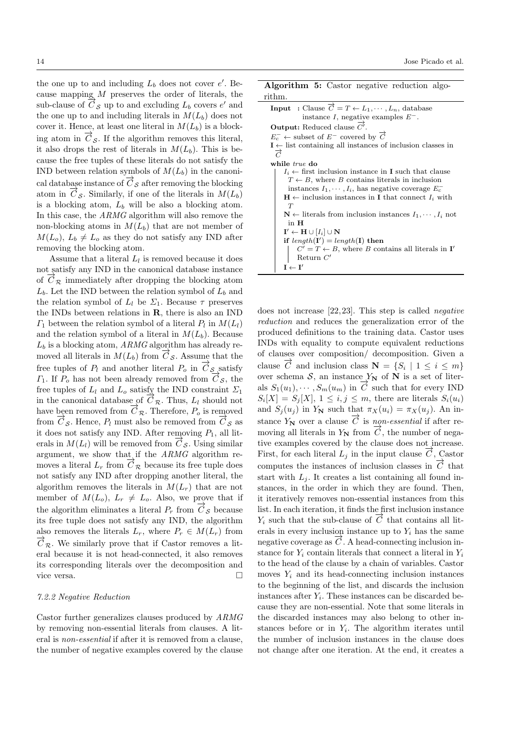the one up to and including  $L_b$  does not cover  $e'$ . Because mapping  $M$  preserves the order of literals, the sub-clause of  $\vec{C}_{\mathcal{S}}$  up to and excluding  $L_b$  covers  $e'$  and the one up to and including literals in  $M(L_b)$  does not cover it. Hence, at least one literal in  $M(L_b)$  is a blocking atom in  $\vec{C}_{S}$ . If the algorithm removes this literal, it also drops the rest of literals in  $M(L_b)$ . This is because the free tuples of these literals do not satisfy the IND between relation symbols of  $M(L_b)$  in the canonical database instance of  $\vec{C}_{\mathcal{S}}$  after removing the blocking atom in  $\overrightarrow{C}_{\mathcal{S}}$ . Similarly, if one of the literals in  $M(L_b)$ is a blocking atom,  $L<sub>b</sub>$  will be also a blocking atom. In this case, the ARMG algorithm will also remove the non-blocking atoms in  $M(L_b)$  that are not member of  $M(L_o)$ ,  $L_b \neq L_o$  as they do not satisfy any IND after removing the blocking atom.

Assume that a literal  $L_l$  is removed because it does not satisfy any IND in the canonical database instance of  $\overline{C}_R$  immediately after dropping the blocking atom  $L<sub>b</sub>$ . Let the IND between the relation symbol of  $L<sub>b</sub>$  and the relation symbol of  $L_l$  be  $\Sigma_1$ . Because  $\tau$  preserves the INDs between relations in R, there is also an IND  $\Gamma_1$  between the relation symbol of a literal  $P_l$  in  $M(L_l)$ and the relation symbol of a literal in  $M(L_b)$ . Because  $L_b$  is a blocking atom,  $ARMG$  algorithm has already removed all literals in  $M(L_b)$  from  $\overline{C}_{\mathcal{S}}$ . Assume that the free tuples of  $P_l$  and another literal  $P_o$  in  $\overrightarrow{C}_{\mathcal{S}_o}$  satisfy  $\Gamma_1$ . If  $P_o$  has not been already removed from  $\overline{C}_{\mathcal{S}}$ , the free tuples of  $L_l$  and  $L_o$  satisfy the IND constraint  $\Sigma_1$ in the canonical database of  $\hat{C}_R$ . Thus,  $L_l$  should not have been removed from  $C_{\mathcal{R}}$ . Therefore,  $P_o$  is removed from  $\overline{C}_{\mathcal{S}}$ . Hence,  $P_l$  must also be removed from  $\overline{C}_{\mathcal{S}}$  as it does not satisfy any IND. After removing  $P_1$ , all literals in  $M(L_l)$  will be removed from  $\overline{C}_{\mathcal{S}}$ . Using similar argument, we show that if the ARMG algorithm removes a literal  $L_r$  from  $\overline{C}_R$  because its free tuple does not satisfy any IND after dropping another literal, the algorithm removes the literals in  $M(L_r)$  that are not member of  $M(L_o)$ ,  $L_r \neq L_o$ . Also, we prove that if the algorithm eliminates a literal  $P_r$  from  $\overrightarrow{C}_S$  because its free tuple does not satisfy any IND, the algorithm also removes the literals  $L_r$ , where  $P_r \in M(L_r)$  from  $\overline{C}_{\mathcal{R}}$ . We similarly prove that if Castor removes a literal because it is not head-connected, it also removes its corresponding literals over the decomposition and vice versa.

## 7.2.2 Negative Reduction

Castor further generalizes clauses produced by ARMG by removing non-essential literals from clauses. A literal is non-essential if after it is removed from a clause, the number of negative examples covered by the clause

| Algorithm 5: Castor negative reduction algo-                              |  |  |  |  |
|---------------------------------------------------------------------------|--|--|--|--|
| $\text{rithm.}$                                                           |  |  |  |  |
| <b>Input</b> : Clause $\vec{C} = T \leftarrow L_1, \dots, L_n$ , database |  |  |  |  |
| instance I, negative examples $E^-$ .                                     |  |  |  |  |
| <b>Output:</b> Reduced clause $\overrightarrow{C}$ .                      |  |  |  |  |
| $E_c^- \leftarrow$ subset of $E^-$ covered by $\vec{C}$                   |  |  |  |  |
| $I \leftarrow$ list containing all instances of inclusion classes in      |  |  |  |  |
| 7                                                                         |  |  |  |  |
| while <i>true</i> do                                                      |  |  |  |  |
| $I_i \leftarrow$ first inclusion instance in I such that clause           |  |  |  |  |
| $T \leftarrow B$ , where B contains literals in inclusion                 |  |  |  |  |
| instances $I_1, \dots, I_i$ , has negative coverage $E_c^-$               |  |  |  |  |
| $H \leftarrow$ inclusion instances in I that connect $I_i$ with           |  |  |  |  |
| T                                                                         |  |  |  |  |
| $N \leftarrow$ literals from inclusion instances $I_1, \cdots, I_i$ not   |  |  |  |  |
| in H                                                                      |  |  |  |  |
| $\mathbf{I}' \leftarrow \mathbf{H} \cup [I_i] \cup \mathbf{N}$            |  |  |  |  |
| if $length(I') = length(I)$ then                                          |  |  |  |  |
| $C' = T \leftarrow B$ , where B contains all literals in <b>I'</b>        |  |  |  |  |
| Return $C'$                                                               |  |  |  |  |
| $\text{I} \leftarrow \text{I}'$                                           |  |  |  |  |

does not increase [22, 23]. This step is called negative reduction and reduces the generalization error of the produced definitions to the training data. Castor uses INDs with equality to compute equivalent reductions of clauses over composition/ decomposition. Given a clause  $\overrightarrow{C}$  and inclusion class  $N = \{S_i \mid 1 \leq i \leq m\}$ over schema  $S$ , an instance  $Y_N$  of N is a set of literals  $S_1(u_1), \cdots, S_m(u_m)$  in  $\overrightarrow{C}$  such that for every IND  $S_i[X] = S_j[X], 1 \leq i, j \leq m$ , there are literals  $S_i(u_i)$ and  $S_j(u_j)$  in  $Y_N$  such that  $\pi_X(u_i) = \pi_X(u_j)$ . An instance  $Y_N$  over a clause  $\overrightarrow{C}$  is non-essential if after removing all literals in  $Y_N$  from  $\overrightarrow{C}$ , the number of negative examples covered by the clause does not increase. First, for each literal  $L_j$  in the input clause  $\overrightarrow{C}$ , Castor computes the instances of inclusion classes in  $\overline{C}$  that start with  $L_i$ . It creates a list containing all found instances, in the order in which they are found. Then, it iteratively removes non-essential instances from this list. In each iteration, it finds the first inclusion instance  $Y_i$  such that the sub-clause of  $\vec{C}$  that contains all literals in every inclusion instance up to  $Y_i$  has the same erals in every inclusion instance up to  $I_i$  has the same<br>negative coverage as  $\vec{C}$ . A head-connecting inclusion instance for  $Y_i$  contain literals that connect a literal in  $Y_i$ to the head of the clause by a chain of variables. Castor moves  $Y_i$  and its head-connecting inclusion instances to the beginning of the list, and discards the inclusion instances after  $Y_i$ . These instances can be discarded because they are non-essential. Note that some literals in the discarded instances may also belong to other instances before or in  $Y_i$ . The algorithm iterates until the number of inclusion instances in the clause does not change after one iteration. At the end, it creates a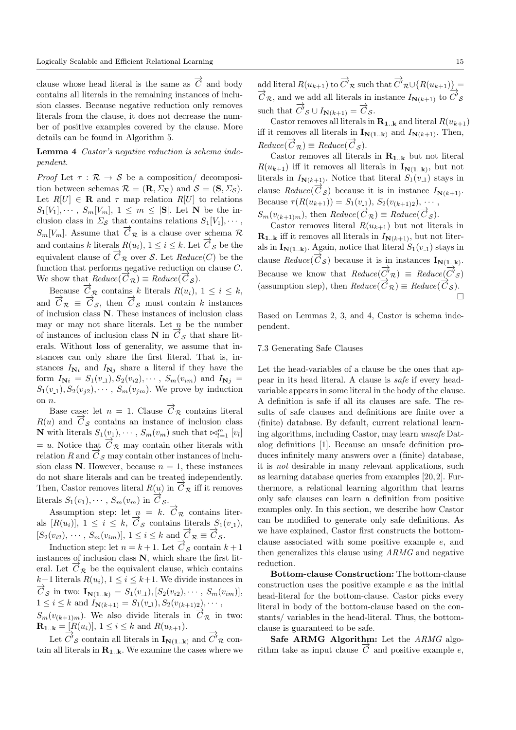clause whose head literal is the same as  $\vec{C}$  and body contains all literals in the remaining instances of inclusion classes. Because negative reduction only removes literals from the clause, it does not decrease the number of positive examples covered by the clause. More details can be found in Algorithm 5.

Lemma 4 Castor's negative reduction is schema independent.

*Proof* Let  $\tau : \mathcal{R} \to \mathcal{S}$  be a composition/ decomposition between schemas  $\mathcal{R} = (\mathbf{R}, \Sigma_{\mathcal{R}})$  and  $\mathcal{S} = (\mathbf{S}, \Sigma_{\mathcal{S}})$ . Let  $R[U] \in \mathbf{R}$  and  $\tau$  map relation  $R[U]$  to relations  $S_1[V_1], \cdots, S_m[V_m], 1 \leq m \leq |\mathbf{S}|.$  Let N be the inclusion class in  $\Sigma_{\mathcal{S}}$  that contains relations  $S_1[V_1], \cdots$ ,  $S_m[V_m]$ . Assume that  $\vec{C}_R$  is a clause over schema R and contains k literals  $R(u_i)$ ,  $1 \le i \le k$ . Let  $\overrightarrow{C}_{\mathcal{S}}$  be the equivalent clause of  $\overrightarrow{C}_{\mathcal{R}}$  over S. Let  $Reduce(C)$  be the function that performs negative reduction on clause  $C$ . We show that  $Reduce(\overrightarrow{C}_R) \equiv Reduce(\overrightarrow{C}_S)$ .

Because  $\overrightarrow{C}_R$  contains k literals  $R(u_i)$ ,  $1 \leq i \leq k$ , and  $\vec{C}_R \equiv \vec{C}_S$ , then  $\vec{C}_S$  must contain k instances of inclusion class N. These instances of inclusion class may or may not share literals. Let  $n$  be the number of instances of inclusion class N in  $\overrightarrow{C}_{\mathcal{S}}$  that share literals. Without loss of generality, we assume that instances can only share the first literal. That is, instances  $I_{N_i}$  and  $I_{N_j}$  share a literal if they have the form  $I_{Ni} = S_1(v_{.1}), S_2(v_{i2}), \cdots, S_m(v_{im})$  and  $I_{Nj} =$  $S_1(v_1), S_2(v_{j2}), \cdots, S_m(v_{jm})$ . We prove by induction on n.

Base case: let  $n = 1$ . Clause  $\overrightarrow{C}_R$  contains literal  $R(u)$  and  $\overrightarrow{C}_{\mathcal{S}}$  contains an instance of inclusion class **N** with literals  $S_1(v_1), \dots, S_m(v_m)$  such that  $\bowtie_{l=1}^m [v_l]$  $= u$ . Notice that  $\overrightarrow{C}_{\mathcal{R}}$  may contain other literals with relation R and  $\overline{C}_{\mathcal{S}}$  may contain other instances of inclusion class **N**. However, because  $n = 1$ , these instances do not share literals and can be treated independently. Then, Castor removes literal  $R(u)$  in  $\overline{C}_R$  iff it removes literals  $S_1(v_1), \cdots, S_m(v_m)$  in  $\overrightarrow{C}_{\mathcal{S}}$ .

Assumption step: let  $n = k$ .  $\vec{C}_R$  contains liter-Assumption step. let  $h = \kappa$ .  $\forall \chi$  contains literals  $R(u_i)$ ,  $1 \leq i \leq k$ ,  $\overrightarrow{C}_{\mathcal{S}}$  contains literals  $S_1(v_{-1})$ ,  $[S_2(v_{i2}), \cdots, S_m(v_{im})], 1 \leq i \leq k \text{ and } \overrightarrow{C}_R \equiv \overrightarrow{C}_S.$ 

Induction step: let  $n = k + 1$ . Let  $\overrightarrow{C}_S$  contain  $k + 1$ instances of inclusion class N, which share the first literal. Let  $\mathcal{C}_{\mathcal{R}}$  be the equivalent clause, which contains  $k+1$  literals  $R(u_i)$ ,  $1 \leq i \leq k+1$ . We divide instances in  $\overrightarrow{C}_{\mathcal{S}}$  in two:  $\mathbf{I}_{N(1..k)} = S_1(v_{.1}), [S_2(v_{i2}), \cdots, S_m(v_{im})],$  $1 \leq i \leq k$  and  $I_{\mathbf{N}(k+1)} = S_1(v_{.1}), S_2(v_{(k+1)2}), \cdots$ ,  $S_m(v_{(k+1)m})$ . We also divide literals in  $\vec{C}_R$  in two:  $\mathbf{R}_{1..k} = [R(u_i)], 1 \le i \le k$  and  $R(u_{k+1}).$ 

Let  $\overrightarrow{C}'_{\mathcal{S}}$  contain all literals in  $\mathbf{I}_{N(1..k)}$  and  $\overrightarrow{C}'_{\mathcal{R}}$  contain all literals in  $\mathbf{R}_{1..k}$ . We examine the cases where we

add literal  $R(u_{k+1})$  to  $\overrightarrow{C}'$  *R* such that  $\overrightarrow{C}'$  *R* $\cup$ {*R* $(u_{k+1})$ } =  $\overrightarrow{C}_{\mathcal{R}}$ , and we add all literals in instance  $I_{\mathbf{N}(k+1)}$  to  $\overrightarrow{C}'_{\mathcal{S}}$ such that  $\overrightarrow{C}'_{\mathcal{S}} \cup I_{\mathbf{N}(k+1)} = \overrightarrow{C}_{\mathcal{S}}$ .

Castor removes all literals in  $\mathbf{R}_{1..k}$  and literal  $R(u_{k+1})$ iff it removes all literals in  $\mathbf{I}_{N(1..k)}$  and  $I_{N(k+1)}$ . Then,  $Reduce(\overrightarrow{C}_{\mathcal{R}}) \equiv Reduce(\overrightarrow{C}_{\mathcal{S}}).$ 

Castor removes all literals in  $\mathbf{R}_{1..k}$  but not literal  $R(u_{k+1})$  iff it removes all literals in  $\mathbf{I}_{N(1..k)}$ , but not literals in  $I_{\mathbf{N}(k+1)}$ . Notice that literal  $S_1(v_1)$  stays in clause  $Reduce(\overrightarrow{C}_S)$  because it is in instance  $I_{\mathbf{N}(k+1)}$ . Because  $\tau(R(u_{k+1})) = S_1(v_{.1}), S_2(v_{(k+1)2}), \cdots$ ,  $S_m(v_{(k+1)m})$ , then  $Reduce(\overrightarrow{C}_R) \equiv Reduce(\overrightarrow{C}_S)$ .

Castor removes literal  $R(u_{k+1})$  but not literals in  $\mathbf{R}_{1..k}$  iff it removes all literals in  $I_{\mathbf{N}(k+1)}$ , but not literals in  $\mathbf{I}_{N(1..k)}$ . Again, notice that literal  $S_1(v_1)$  stays in clause  $Reduce(\overrightarrow{C}_{\mathcal{S}})$  because it is in instances  $\mathbf{I}_{N(1..k)}$ . Because we know that  $Reduce(\overrightarrow{C}'_{\mathcal{R}}) \equiv Reduce(\overrightarrow{C'}_{\mathcal{S}})$ (assumption step), then  $Reduce(\overrightarrow{C_R}) = Reduce(\overrightarrow{C_S})$ . Г

Based on Lemmas 2, 3, and 4, Castor is schema independent.

## 7.3 Generating Safe Clauses

Let the head-variables of a clause be the ones that appear in its head literal. A clause is safe if every headvariable appears in some literal in the body of the clause. A definition is safe if all its clauses are safe. The results of safe clauses and definitions are finite over a (finite) database. By default, current relational learning algorithms, including Castor, may learn unsafe Datalog definitions [1]. Because an unsafe definition produces infinitely many answers over a (finite) database, it is not desirable in many relevant applications, such as learning database queries from examples [20, 2]. Furthermore, a relational learning algorithm that learns only safe clauses can learn a definition from positive examples only. In this section, we describe how Castor can be modified to generate only safe definitions. As we have explained, Castor first constructs the bottomclause associated with some positive example e, and then generalizes this clause using ARMG and negative reduction.

Bottom-clause Construction: The bottom-clause construction uses the positive example  $e$  as the initial head-literal for the bottom-clause. Castor picks every literal in body of the bottom-clause based on the constants/ variables in the head-literal. Thus, the bottomclause is guaranteed to be safe.

Safe ARMG Algorithm: Let the ARMG algorithm take as input clause  $\overline{C}$  and positive example e,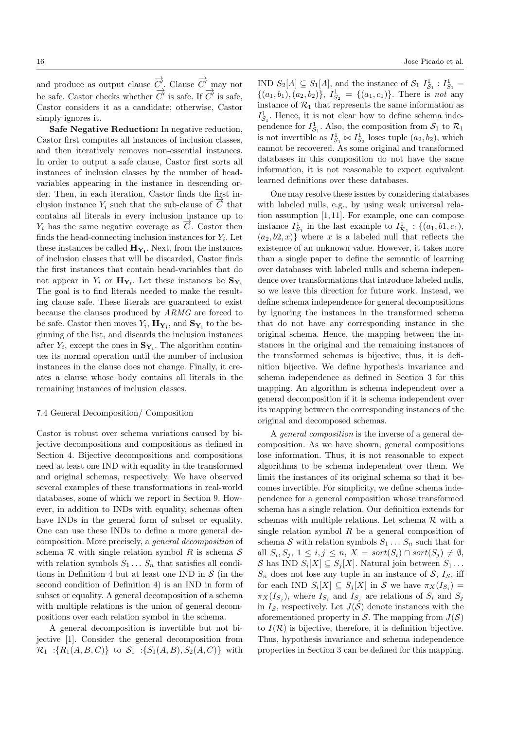and produce as output clause  $\overrightarrow{C}$ . Clause  $\overrightarrow{C}'$  may not be safe. Castor checks whether  $\overrightarrow{C}$  is safe. If  $\overrightarrow{C}$  is safe, Castor considers it as a candidate; otherwise, Castor simply ignores it.

Safe Negative Reduction: In negative reduction, Castor first computes all instances of inclusion classes, and then iteratively removes non-essential instances. In order to output a safe clause, Castor first sorts all instances of inclusion classes by the number of headvariables appearing in the instance in descending order. Then, in each iteration, Castor finds the first inclusion instance  $Y_i$  such that the sub-clause of  $\overrightarrow{C}$  that contains all literals in every inclusion instance up to  $Y_i$  has the same negative coverage as  $\check{C}$ . Castor then finds the head-connecting inclusion instances for  $Y_i$ . Let these instances be called  $\mathbf{H}_{\mathbf{Y}_i}$ . Next, from the instances of inclusion classes that will be discarded, Castor finds the first instances that contain head-variables that do not appear in  $Y_i$  or  $\mathbf{H}_{\mathbf{Y}_i}$ . Let these instances be  $\mathbf{S}_{\mathbf{Y}_i}$ The goal is to find literals needed to make the resulting clause safe. These literals are guaranteed to exist because the clauses produced by ARMG are forced to be safe. Castor then moves  $Y_i$ ,  $\mathbf{H}_{\mathbf{Y}_i}$ , and  $\mathbf{S}_{\mathbf{Y}_i}$  to the beginning of the list, and discards the inclusion instances after  $Y_i$ , except the ones in  $\mathbf{S}_{\mathbf{Y}_i}$ . The algorithm continues its normal operation until the number of inclusion instances in the clause does not change. Finally, it creates a clause whose body contains all literals in the remaining instances of inclusion classes.

## 7.4 General Decomposition/ Composition

Castor is robust over schema variations caused by bijective decompositions and compositions as defined in Section 4. Bijective decompositions and compositions need at least one IND with equality in the transformed and original schemas, respectively. We have observed several examples of these transformations in real-world databases, some of which we report in Section 9. However, in addition to INDs with equality, schemas often have INDs in the general form of subset or equality. One can use these INDs to define a more general decomposition. More precisely, a general decomposition of schema  $\mathcal R$  with single relation symbol R is schema  $\mathcal S$ with relation symbols  $S_1 \ldots S_n$  that satisfies all conditions in Definition 4 but at least one IND in  $S$  (in the second condition of Definition 4) is an IND in form of subset or equality. A general decomposition of a schema with multiple relations is the union of general decompositions over each relation symbol in the schema.

A general decomposition is invertible but not bijective [1]. Consider the general decomposition from  $\mathcal{R}_1$  :{ $R_1(A, B, C)$ } to  $\mathcal{S}_1$  :{ $S_1(A, B), S_2(A, C)$ } with

16 Jose Picado et al.

IND  $S_2[A] \subseteq S_1[A]$ , and the instance of  $S_1 I_{S_1}^1 : I_{S_1}^1 =$  $\{(a_1,b_1),(a_2,b_2)\},\ I_{S_2}^1 = \{(a_1,c_1)\}.$  There is *not* any instance of  $\mathcal{R}_1$  that represents the same information as  $I_{\mathcal{S}_1}^1$ . Hence, it is not clear how to define schema independence for  $I_{\mathcal{S}_1}^1$ . Also, the composition from  $\mathcal{S}_1$  to  $\mathcal{R}_1$ is not invertible as  $I_{S_1}^1 \bowtie I_{S_2}^1$  loses tuple  $(a_2, b_2)$ , which cannot be recovered. As some original and transformed databases in this composition do not have the same information, it is not reasonable to expect equivalent learned definitions over these databases.

One may resolve these issues by considering databases with labeled nulls, e.g., by using weak universal relation assumption [1, 11]. For example, one can compose instance  $I_{\mathcal{S}_1}^1$  in the last example to  $I_{\mathcal{R}_1}^1$  : { $(a_1, b_1, c_1)$ ,  $(a_2, b2, x)$  where x is a labeled null that reflects the existence of an unknown value. However, it takes more than a single paper to define the semantic of learning over databases with labeled nulls and schema independence over transformations that introduce labeled nulls, so we leave this direction for future work. Instead, we define schema independence for general decompositions by ignoring the instances in the transformed schema that do not have any corresponding instance in the original schema. Hence, the mapping between the instances in the original and the remaining instances of the transformed schemas is bijective, thus, it is definition bijective. We define hypothesis invariance and schema independence as defined in Section 3 for this mapping. An algorithm is schema independent over a general decomposition if it is schema independent over its mapping between the corresponding instances of the original and decomposed schemas.

A general composition is the inverse of a general decomposition. As we have shown, general compositions lose information. Thus, it is not reasonable to expect algorithms to be schema independent over them. We limit the instances of its original schema so that it becomes invertible. For simplicity, we define schema independence for a general composition whose transformed schema has a single relation. Our definition extends for schemas with multiple relations. Let schema  $\mathcal R$  with a single relation symbol  $R$  be a general composition of schema S with relation symbols  $S_1 \ldots S_n$  such that for all  $S_i, S_j, 1 \leq i, j \leq n$ ,  $X = sort(S_i) \cap sort(S_j) \neq \emptyset$ , S has IND  $S_i[X] \subseteq S_j[X]$ . Natural join between  $S_1 \dots$  $S_n$  does not lose any tuple in an instance of S,  $I_s$ , iff for each IND  $S_i[X] \subseteq S_j[X]$  in S we have  $\pi_X(I_{S_i}) =$  $\pi_X(I_{S_j})$ , where  $I_{S_i}$  and  $I_{S_j}$  are relations of  $S_i$  and  $S_j$ in  $I_{\mathcal{S}}$ , respectively. Let  $J(\mathcal{S})$  denote instances with the aforementioned property in S. The mapping from  $J(\mathcal{S})$ to  $I(\mathcal{R})$  is bijective, therefore, it is definition bijective. Thus, hypothesis invariance and schema independence properties in Section 3 can be defined for this mapping.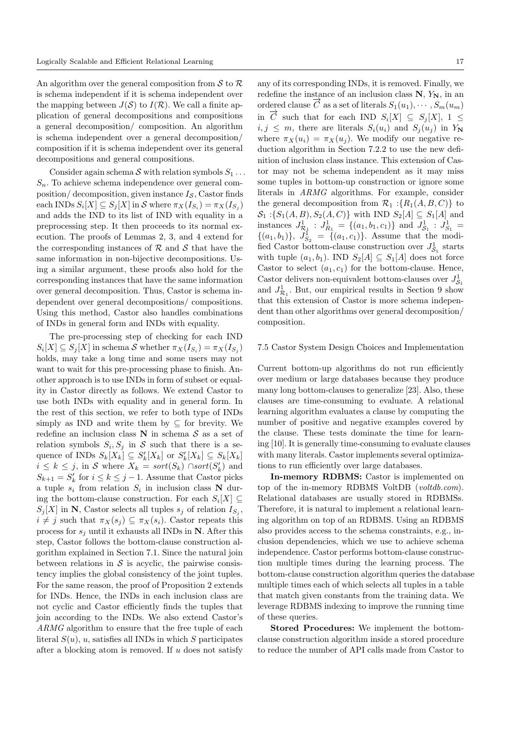An algorithm over the general composition from  $\mathcal S$  to  $\mathcal R$ is schema independent if it is schema independent over the mapping between  $J(\mathcal{S})$  to  $I(\mathcal{R})$ . We call a finite application of general decompositions and compositions a general decomposition/ composition. An algorithm is schema independent over a general decomposition/ composition if it is schema independent over its general decompositions and general compositions.

Consider again schema  $S$  with relation symbols  $S_1 \ldots$  $S_n$ . To achieve schema independence over general composition/ decomposition, given instance  $I_{\mathcal{S}}$ , Castor finds each INDs  $S_i[X] \subseteq S_j[X]$  in S where  $\pi_X(I_{S_i}) = \pi_X(I_{S_j})$ and adds the IND to its list of IND with equality in a preprocessing step. It then proceeds to its normal execution. The proofs of Lemmas 2, 3, and 4 extend for the corresponding instances of  $R$  and  $S$  that have the same information in non-bijective decompositions. Using a similar argument, these proofs also hold for the corresponding instances that have the same information over general decomposition. Thus, Castor is schema independent over general decompositions/ compositions. Using this method, Castor also handles combinations of INDs in general form and INDs with equality.

The pre-processing step of checking for each IND  $S_i[X] \subseteq S_j[X]$  in schema S whether  $\pi_X(I_{S_i}) = \pi_X(I_{S_j})$ holds, may take a long time and some users may not want to wait for this pre-processing phase to finish. Another approach is to use INDs in form of subset or equality in Castor directly as follows. We extend Castor to use both INDs with equality and in general form. In the rest of this section, we refer to both type of INDs simply as IND and write them by  $\subseteq$  for brevity. We redefine an inclusion class  $N$  in schema  $S$  as a set of relation symbols  $S_i, S_j$  in S such that there is a sequence of INDs  $S_k[X_k] \subseteq S_k'[X_k]$  or  $S_k'[X_k] \subseteq S_k[X_k]$  $i \leq k \leq j$ , in S where  $X_k = sort(S_k) \cap sort(S'_k)$  and  $S_{k+1} = S'_k$  for  $i \leq k \leq j-1$ . Assume that Castor picks a tuple  $s_i$  from relation  $S_i$  in inclusion class N during the bottom-clause construction. For each  $S_i[X] \subseteq$  $S_j[X]$  in N, Castor selects all tuples  $s_j$  of relation  $I_{S_j}$ ,  $i \neq j$  such that  $\pi_X(s_j) \subseteq \pi_X(s_i)$ . Castor repeats this process for  $s_j$  until it exhausts all INDs in N. After this step, Castor follows the bottom-clause construction algorithm explained in Section 7.1. Since the natural join between relations in  $S$  is acyclic, the pairwise consistency implies the global consistency of the joint tuples. For the same reason, the proof of Proposition 2 extends for INDs. Hence, the INDs in each inclusion class are not cyclic and Castor efficiently finds the tuples that join according to the INDs. We also extend Castor's ARMG algorithm to ensure that the free tuple of each literal  $S(u)$ , u, satisfies all INDs in which S participates after a blocking atom is removed. If  $u$  does not satisfy

any of its corresponding INDs, it is removed. Finally, we redefine the instance of an inclusion class  $N$ ,  $Y_N$ , in an ordered clause  $\overrightarrow{C}$  as a set of literals  $S_1(u_1), \cdots, S_m(u_m)$ in  $\vec{C}$  such that for each IND  $S_i[X] \subseteq S_j[X], 1 \leq$  $i, j \leq m$ , there are literals  $S_i(u_i)$  and  $S_j(u_j)$  in  $Y_N$ where  $\pi_X(u_i) = \pi_X(u_j)$ . We modify our negative reduction algorithm in Section 7.2.2 to use the new definition of inclusion class instance. This extension of Castor may not be schema independent as it may miss some tuples in bottom-up construction or ignore some literals in ARMG algorithms. For example, consider the general decomposition from  $\mathcal{R}_1$  : { $R_1(A, B, C)$ } to  $S_1$ :{ $S_1(A, B)$ ,  $S_2(A, C)$ } with IND  $S_2[A] \subseteq S_1[A]$  and instances  $J_{\mathcal{R}_1}^1$  :  $J_{R_1}^1 = \{(a_1, b_1, c_1)\}$  and  $J_{\mathcal{S}_1}^1$  :  $J_{S_1}^1$  =  $\{(a_1,b_1)\},\ J_{S_2}^{\bar{1}} = \{ (a_1,c_1) \}.$  Assume that the modified Castor bottom-clause construction over  $J_{\mathcal{S}_1}^1$  starts with tuple  $(a_1, b_1)$ . IND  $S_2[A] \subseteq S_1[A]$  does not force Castor to select  $(a_1, c_1)$  for the bottom-clause. Hence, Castor delivers non-equivalent bottom-clauses over  $J^1_{\mathcal{S}_1}$ and  $J_{\mathcal{R}_1}^1$ . But, our empirical results in Section 9 show that this extension of Castor is more schema independent than other algorithms over general decomposition/ composition.

## 7.5 Castor System Design Choices and Implementation

Current bottom-up algorithms do not run efficiently over medium or large databases because they produce many long bottom-clauses to generalize [23]. Also, these clauses are time-consuming to evaluate. A relational learning algorithm evaluates a clause by computing the number of positive and negative examples covered by the clause. These tests dominate the time for learning [10]. It is generally time-consuming to evaluate clauses with many literals. Castor implements several optimizations to run efficiently over large databases.

In-memory RDBMS: Castor is implemented on top of the in-memory RDBMS VoltDB (voltdb.com). Relational databases are usually stored in RDBMSs. Therefore, it is natural to implement a relational learning algorithm on top of an RDBMS. Using an RDBMS also provides access to the schema constraints, e.g., inclusion dependencies, which we use to achieve schema independence. Castor performs bottom-clause construction multiple times during the learning process. The bottom-clause construction algorithm queries the database multiple times each of which selects all tuples in a table that match given constants from the training data. We leverage RDBMS indexing to improve the running time of these queries.

Stored Procedures: We implement the bottomclause construction algorithm inside a stored procedure to reduce the number of API calls made from Castor to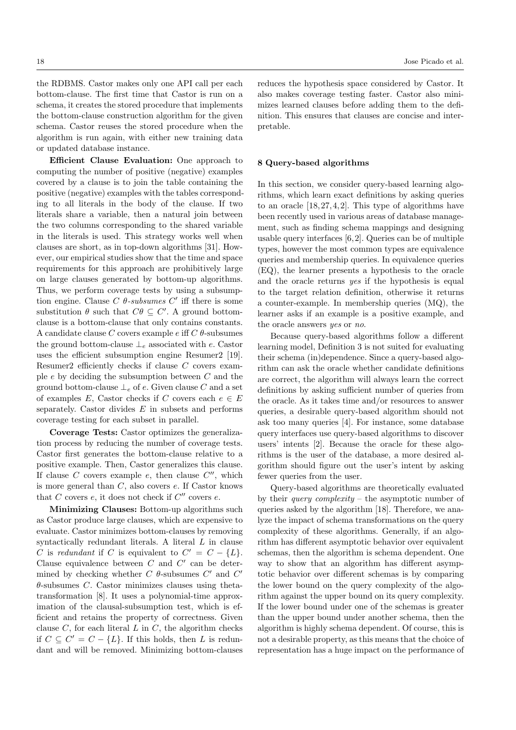the RDBMS. Castor makes only one API call per each bottom-clause. The first time that Castor is run on a schema, it creates the stored procedure that implements the bottom-clause construction algorithm for the given schema. Castor reuses the stored procedure when the algorithm is run again, with either new training data or updated database instance.

Efficient Clause Evaluation: One approach to computing the number of positive (negative) examples covered by a clause is to join the table containing the positive (negative) examples with the tables corresponding to all literals in the body of the clause. If two literals share a variable, then a natural join between the two columns corresponding to the shared variable in the literals is used. This strategy works well when clauses are short, as in top-down algorithms [31]. However, our empirical studies show that the time and space requirements for this approach are prohibitively large on large clauses generated by bottom-up algorithms. Thus, we perform coverage tests by using a subsumption engine. Clause  $C \theta$ -subsumes  $C'$  iff there is some substitution  $\theta$  such that  $C\theta \subseteq C'$ . A ground bottomclause is a bottom-clause that only contains constants. A candidate clause C covers example  $e$  iff C  $\theta$ -subsumes the ground bottom-clause  $\perp_e$  associated with e. Castor uses the efficient subsumption engine Resumer2 [19]. Resumer2 efficiently checks if clause C covers example e by deciding the subsumption between C and the ground bottom-clause  $\perp_e$  of e. Given clause C and a set of examples E, Castor checks if C covers each  $e \in E$ separately. Castor divides  $E$  in subsets and performs coverage testing for each subset in parallel.

Coverage Tests: Castor optimizes the generalization process by reducing the number of coverage tests. Castor first generates the bottom-clause relative to a positive example. Then, Castor generalizes this clause. If clause C covers example  $e$ , then clause  $C''$ , which is more general than  $C$ , also covers  $e$ . If Castor knows that C covers  $e$ , it does not check if  $C''$  covers  $e$ .

Minimizing Clauses: Bottom-up algorithms such as Castor produce large clauses, which are expensive to evaluate. Castor minimizes bottom-clauses by removing syntactically redundant literals. A literal  $L$  in clause C is redundant if C is equivalent to  $C' = C - \{L\}.$ Clause equivalence between  $C$  and  $C'$  can be determined by checking whether  $C$   $\theta$ -subsumes  $C'$  and  $C'$  $\theta$ -subsumes C. Castor minimizes clauses using thetatransformation [8]. It uses a polynomial-time approximation of the clausal-subsumption test, which is efficient and retains the property of correctness. Given clause  $C$ , for each literal  $L$  in  $C$ , the algorithm checks if  $C \subseteq C' = C - \{L\}$ . If this holds, then L is redundant and will be removed. Minimizing bottom-clauses

reduces the hypothesis space considered by Castor. It also makes coverage testing faster. Castor also minimizes learned clauses before adding them to the definition. This ensures that clauses are concise and interpretable.

## 8 Query-based algorithms

In this section, we consider query-based learning algorithms, which learn exact definitions by asking queries to an oracle  $[18, 27, 4, 2]$ . This type of algorithms have been recently used in various areas of database management, such as finding schema mappings and designing usable query interfaces [6, 2]. Queries can be of multiple types, however the most common types are equivalence queries and membership queries. In equivalence queries (EQ), the learner presents a hypothesis to the oracle and the oracle returns yes if the hypothesis is equal to the target relation definition, otherwise it returns a counter-example. In membership queries (MQ), the learner asks if an example is a positive example, and the oracle answers yes or no.

Because query-based algorithms follow a different learning model, Definition 3 is not suited for evaluating their schema (in)dependence. Since a query-based algorithm can ask the oracle whether candidate definitions are correct, the algorithm will always learn the correct definitions by asking sufficient number of queries from the oracle. As it takes time and/or resources to answer queries, a desirable query-based algorithm should not ask too many queries [4]. For instance, some database query interfaces use query-based algorithms to discover users' intents [2]. Because the oracle for these algorithms is the user of the database, a more desired algorithm should figure out the user's intent by asking fewer queries from the user.

Query-based algorithms are theoretically evaluated by their *query complexity* – the asymptotic number of queries asked by the algorithm [18]. Therefore, we analyze the impact of schema transformations on the query complexity of these algorithms. Generally, if an algorithm has different asymptotic behavior over equivalent schemas, then the algorithm is schema dependent. One way to show that an algorithm has different asymptotic behavior over different schemas is by comparing the lower bound on the query complexity of the algorithm against the upper bound on its query complexity. If the lower bound under one of the schemas is greater than the upper bound under another schema, then the algorithm is highly schema dependent. Of course, this is not a desirable property, as this means that the choice of representation has a huge impact on the performance of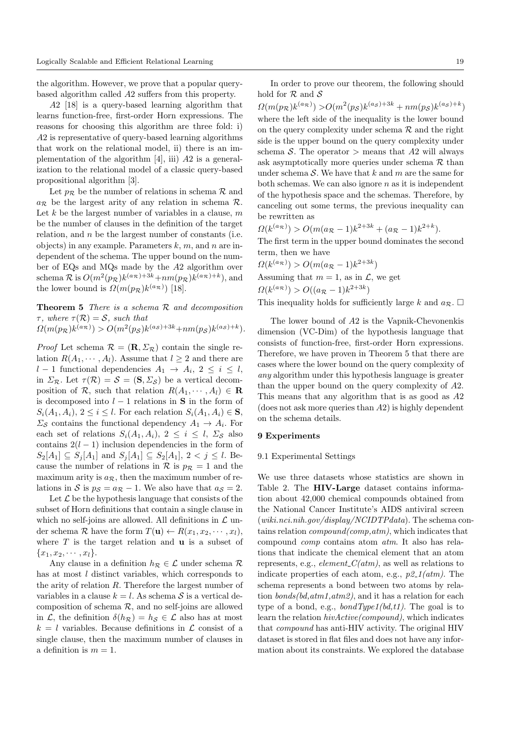the algorithm. However, we prove that a popular querybased algorithm called A2 suffers from this property.

A2 [18] is a query-based learning algorithm that learns function-free, first-order Horn expressions. The reasons for choosing this algorithm are three fold: i) A2 is representative of query-based learning algorithms that work on the relational model, ii) there is an implementation of the algorithm  $[4]$ , iii)  $A2$  is a generalization to the relational model of a classic query-based propositional algorithm [3].

Let  $p_{\mathcal{R}}$  be the number of relations in schema  $\mathcal{R}$  and  $a_{\mathcal{R}}$  be the largest arity of any relation in schema  $\mathcal{R}$ . Let  $k$  be the largest number of variables in a clause,  $m$ be the number of clauses in the definition of the target relation, and  $n$  be the largest number of constants (i.e. objects) in any example. Parameters  $k, m$ , and n are independent of the schema. The upper bound on the number of EQs and MQs made by the A2 algorithm over schema  $\mathcal R$  is  $O(m^2(p_{\mathcal{R}})k^{(a_{\mathcal{R}})+3k}+nm(p_{\mathcal{R}})k^{(a_{\mathcal{R}})+k}),$  and the lower bound is  $\Omega(m(p_{\mathcal{R}})k^{(a_{\mathcal{R}})})$  [18].

**Theorem 5** There is a schema  $\mathcal{R}$  and decomposition  $\tau$ , where  $\tau(\mathcal{R}) = \mathcal{S}$ , such that  $\Omega(m(p_{\mathcal{R}})k^{(a_{\mathcal{R}})}) > O(m^2(p_{\mathcal{S}})k^{(a_{\mathcal{S}})+3k} + nm(p_{\mathcal{S}})k^{(a_{\mathcal{S}})+k}).$ 

*Proof* Let schema  $\mathcal{R} = (\mathbf{R}, \Sigma_{\mathcal{R}})$  contain the single relation  $R(A_1, \dots, A_l)$ . Assume that  $l \geq 2$  and there are  $l-1$  functional dependencies  $A_1 \rightarrow A_i, 2 \leq i \leq l$ , in  $\Sigma_{\mathcal{R}}$ . Let  $\tau(\mathcal{R}) = \mathcal{S} = (\mathbf{S}, \Sigma_{\mathcal{S}})$  be a vertical decomposition of R, such that relation  $R(A_1, \dots, A_l) \in \mathbf{R}$ is decomposed into  $l-1$  relations in S in the form of  $S_i(A_1, A_i), 2 \leq i \leq l$ . For each relation  $S_i(A_1, A_i) \in \mathbf{S}$ ,  $\Sigma_{\mathcal{S}}$  contains the functional dependency  $A_1 \to A_i$ . For each set of relations  $S_i(A_1, A_i)$ ,  $2 \leq i \leq l$ ,  $\Sigma_{\mathcal{S}}$  also contains  $2(l-1)$  inclusion dependencies in the form of  $S_2[A_1] \subseteq S_i[A_1]$  and  $S_i[A_1] \subseteq S_2[A_1]$ ,  $2 < j \leq l$ . Because the number of relations in  $\mathcal R$  is  $p_{\mathcal R} = 1$  and the maximum arity is  $a_{\mathcal{R}}$ , then the maximum number of relations in S is  $p_S = a_{\mathcal{R}} - 1$ . We also have that  $a_S = 2$ .

Let  $\mathcal L$  be the hypothesis language that consists of the subset of Horn definitions that contain a single clause in which no self-joins are allowed. All definitions in  $\mathcal L$  under schema R have the form  $T(\mathbf{u}) \leftarrow R(x_1, x_2, \dots, x_l)$ , where  $T$  is the target relation and  $\bf{u}$  is a subset of  ${x_1, x_2, \cdots, x_l}.$ 

Any clause in a definition  $h_{\mathcal{R}} \in \mathcal{L}$  under schema  $\mathcal{R}$ has at most l distinct variables, which corresponds to the arity of relation R. Therefore the largest number of variables in a clause  $k = l$ . As schema S is a vertical decomposition of schema  $R$ , and no self-joins are allowed in  $\mathcal{L}$ , the definition  $\delta(h_{\mathcal{R}}) = h_{\mathcal{S}} \in \mathcal{L}$  also has at most  $k = l$  variables. Because definitions in  $\mathcal{L}$  consist of a single clause, then the maximum number of clauses in a definition is  $m = 1$ .

In order to prove our theorem, the following should hold for  ${\mathcal R}$  and  ${\mathcal S}$ 

 $\Omega(m(p_{\mathcal{R}})k^{(a_{\mathcal{R}})}) > O(m^2(p_{\mathcal{S}})k^{(a_{\mathcal{S}})+3k} + nm(p_{\mathcal{S}})k^{(a_{\mathcal{S}})+k})$ where the left side of the inequality is the lower bound on the query complexity under schema  $R$  and the right side is the upper bound on the query complexity under schema S. The operator  $>$  means that A2 will always ask asymptotically more queries under schema  $\mathcal R$  than under schema  $S$ . We have that k and m are the same for both schemas. We can also ignore  $n$  as it is independent of the hypothesis space and the schemas. Therefore, by canceling out some terms, the previous inequality can be rewritten as

$$
\Omega(k^{(a_{\mathcal{R}})}) > O(m(a_{\mathcal{R}}-1)k^{2+3k} + (a_{\mathcal{R}}-1)k^{2+k}).
$$

The first term in the upper bound dominates the second term, then we have

$$
\Omega(k^{(a_{\mathcal{R}})}) > O(m(a_{\mathcal{R}} - 1)k^{2+3k})
$$
  
Assuming that  $m = 1$ , as in  $\mathcal{L}$ , we get  

$$
\Omega(k^{(a_{\mathcal{R}})}) > O((a_{\mathcal{R}} - 1)k^{2+3k})
$$

This inequality holds for sufficiently large k and  $a_{\mathcal{R}}$ .  $\Box$ 

The lower bound of A2 is the Vapnik-Chevonenkis dimension (VC-Dim) of the hypothesis language that consists of function-free, first-order Horn expressions. Therefore, we have proven in Theorem 5 that there are cases where the lower bound on the query complexity of any algorithm under this hypothesis language is greater than the upper bound on the query complexity of A2. This means that any algorithm that is as good as A2  $(does not ask more queries than A2)$  is highly dependent on the schema details.

## 9 Experiments

## 9.1 Experimental Settings

We use three datasets whose statistics are shown in Table 2. The HIV-Large dataset contains information about 42,000 chemical compounds obtained from the National Cancer Institute's AIDS antiviral screen  $(wiki.nci.nih.gov/display/NCIDTPdata)$ . The schema contains relation  $compound/comp,atm)$ , which indicates that compound comp contains atom atm. It also has relations that indicate the chemical element that an atom represents, e.g.,  $element_{\alpha}(atm)$ , as well as relations to indicate properties of each atom, e.g.,  $p2_1(atm)$ . The schema represents a bond between two atoms by relation bonds(bd,atm1,atm2), and it has a relation for each type of a bond, e.g.,  $bondType1(bd, t1)$ . The goal is to learn the relation  $hivActive/compound)$ , which indicates that compound has anti-HIV activity. The original HIV dataset is stored in flat files and does not have any information about its constraints. We explored the database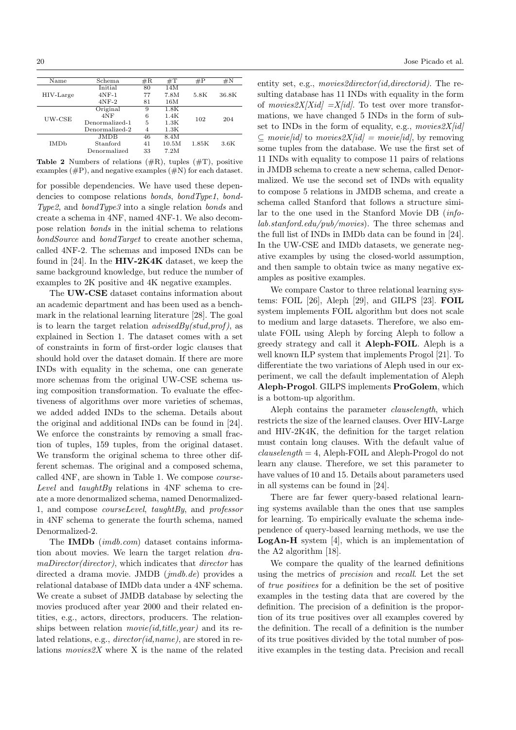| Name        | Schema         | $\#\mathrm{R}$ | $\#\mathrm{T}$ | #P    | $\#\mathrm{N}$ |
|-------------|----------------|----------------|----------------|-------|----------------|
| HIV-Large   | Initial        | 80             | 14M            |       |                |
|             | $4NF-1$        | 77             | 7.8M           | 5.8K  | 36.8K          |
|             | $4NF-2$        | 81             | 16M            |       |                |
| $UW-CSE$    | Original       | 9              | 1.8K           |       |                |
|             | 4NF            | 6              | 1.4K           | 102   | 204            |
|             | Denormalized-1 | 5              | 1.3K           |       |                |
|             | Denormalized-2 | $\overline{4}$ | 1.3K           |       |                |
| <b>IMDb</b> | <b>JMDB</b>    | 46             | 8.4M           |       |                |
|             | Stanford       | 41             | 10.5M          | 1.85K | 3.6K           |
|             | Denormalized   | 33             | 7.2M           |       |                |

**Table 2** Numbers of relations  $(\#R)$ , tuples  $(\#T)$ , positive examples  $(\#P)$ , and negative examples  $(\#N)$  for each dataset.

for possible dependencies. We have used these dependencies to compose relations *bonds*, *bondType1*, *bond-*Type2, and bondType3 into a single relation bonds and create a schema in 4NF, named 4NF-1. We also decompose relation bonds in the initial schema to relations bondSource and bondTarget to create another schema, called 4NF-2. The schemas and imposed INDs can be found in [24]. In the  $HIV-2K4K$  dataset, we keep the same background knowledge, but reduce the number of examples to 2K positive and 4K negative examples.

The UW-CSE dataset contains information about an academic department and has been used as a benchmark in the relational learning literature [28]. The goal is to learn the target relation  $advisedBy(stat, prof)$ , as explained in Section 1. The dataset comes with a set of constraints in form of first-order logic clauses that should hold over the dataset domain. If there are more INDs with equality in the schema, one can generate more schemas from the original UW-CSE schema using composition transformation. To evaluate the effectiveness of algorithms over more varieties of schemas, we added added INDs to the schema. Details about the original and additional INDs can be found in [24]. We enforce the constraints by removing a small fraction of tuples, 159 tuples, from the original dataset. We transform the original schema to three other different schemas. The original and a composed schema, called 4NF, are shown in Table 1. We compose course-Level and taughtBy relations in 4NF schema to create a more denormalized schema, named Denormalized-1, and compose courseLevel, taughtBy, and professor in 4NF schema to generate the fourth schema, named Denormalized-2.

The **IMDb** (*imdb.com*) dataset contains information about movies. We learn the target relation dramaDirector(director), which indicates that director has directed a drama movie. JMDB (*jmdb.de*) provides a relational database of IMDb data under a 4NF schema. We create a subset of JMDB database by selecting the movies produced after year 2000 and their related entities, e.g., actors, directors, producers. The relationships between relation  $movie(id, title, year)$  and its related relations, e.g., *director(id,name)*, are stored in relations  $movies2X$  where X is the name of the related

entity set, e.g.,  $movies2 director(id, directorid)$ . The resulting database has 11 INDs with equality in the form of movies  $2X[Xid] = X(id)$ . To test over more transformations, we have changed 5 INDs in the form of subset to INDs in the form of equality, e.g.,  $movies2X(id)$  $\subseteq \text{movie}[id]$  to  $\text{moves2X}[id] = \text{movie}[id]$ , by removing some tuples from the database. We use the first set of 11 INDs with equality to compose 11 pairs of relations in JMDB schema to create a new schema, called Denormalized. We use the second set of INDs with equality to compose 5 relations in JMDB schema, and create a schema called Stanford that follows a structure similar to the one used in the Stanford Movie DB (infolab.stanford.edu/pub/movies). The three schemas and the full list of INDs in IMDb data can be found in [24]. In the UW-CSE and IMDb datasets, we generate negative examples by using the closed-world assumption, and then sample to obtain twice as many negative examples as positive examples.

We compare Castor to three relational learning systems: FOIL [26], Aleph [29], and GILPS [23]. FOIL system implements FOIL algorithm but does not scale to medium and large datasets. Therefore, we also emulate FOIL using Aleph by forcing Aleph to follow a greedy strategy and call it Aleph-FOIL. Aleph is a well known ILP system that implements Progol [21]. To differentiate the two variations of Aleph used in our experiment, we call the default implementation of Aleph Aleph-Progol. GILPS implements ProGolem, which is a bottom-up algorithm.

Aleph contains the parameter clauselength, which restricts the size of the learned clauses. Over HIV-Large and HIV-2K4K, the definition for the target relation must contain long clauses. With the default value of  $clauselength = 4$ , Aleph-FOIL and Aleph-Progol do not learn any clause. Therefore, we set this parameter to have values of 10 and 15. Details about parameters used in all systems can be found in [24].

There are far fewer query-based relational learning systems available than the ones that use samples for learning. To empirically evaluate the schema independence of query-based learning methods, we use the **LogAn-H** system  $[4]$ , which is an implementation of the A2 algorithm [18].

We compare the quality of the learned definitions using the metrics of precision and recall. Let the set of true positives for a definition be the set of positive examples in the testing data that are covered by the definition. The precision of a definition is the proportion of its true positives over all examples covered by the definition. The recall of a definition is the number of its true positives divided by the total number of positive examples in the testing data. Precision and recall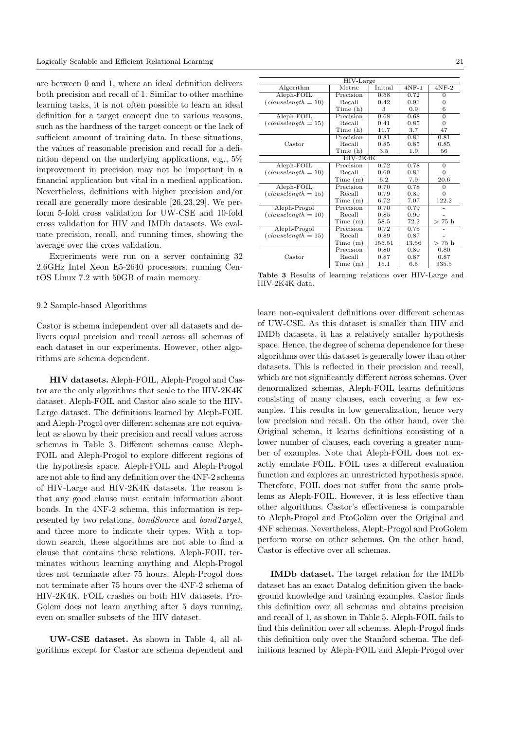are between 0 and 1, where an ideal definition delivers both precision and recall of 1. Similar to other machine learning tasks, it is not often possible to learn an ideal definition for a target concept due to various reasons, such as the hardness of the target concept or the lack of sufficient amount of training data. In these situations, the values of reasonable precision and recall for a definition depend on the underlying applications, e.g., 5% improvement in precision may not be important in a financial application but vital in a medical application. Nevertheless, definitions with higher precision and/or recall are generally more desirable [26, 23, 29]. We perform 5-fold cross validation for UW-CSE and 10-fold cross validation for HIV and IMDb datasets. We evaluate precision, recall, and running times, showing the average over the cross validation.

Experiments were run on a server containing 32 2.6GHz Intel Xeon E5-2640 processors, running CentOS Linux 7.2 with 50GB of main memory.

#### 9.2 Sample-based Algorithms

Castor is schema independent over all datasets and delivers equal precision and recall across all schemas of each dataset in our experiments. However, other algorithms are schema dependent.

HIV datasets. Aleph-FOIL, Aleph-Progol and Castor are the only algorithms that scale to the HIV-2K4K dataset. Aleph-FOIL and Castor also scale to the HIV-Large dataset. The definitions learned by Aleph-FOIL and Aleph-Progol over different schemas are not equivalent as shown by their precision and recall values across schemas in Table 3. Different schemas cause Aleph-FOIL and Aleph-Progol to explore different regions of the hypothesis space. Aleph-FOIL and Aleph-Progol are not able to find any definition over the 4NF-2 schema of HIV-Large and HIV-2K4K datasets. The reason is that any good clause must contain information about bonds. In the 4NF-2 schema, this information is represented by two relations, bondSource and bondTarget, and three more to indicate their types. With a topdown search, these algorithms are not able to find a clause that contains these relations. Aleph-FOIL terminates without learning anything and Aleph-Progol does not terminate after 75 hours. Aleph-Progol does not terminate after 75 hours over the 4NF-2 schema of HIV-2K4K. FOIL crashes on both HIV datasets. Pro-Golem does not learn anything after 5 days running, even on smaller subsets of the HIV dataset.

UW-CSE dataset. As shown in Table 4, all algorithms except for Castor are schema dependent and

| HIV-Large                                            |           |        |       |          |  |  |  |
|------------------------------------------------------|-----------|--------|-------|----------|--|--|--|
| $4NF-1$<br>$4NF-2$<br>Algorithm<br>Initial<br>Metric |           |        |       |          |  |  |  |
|                                                      |           |        |       |          |  |  |  |
| Aleph-FOIL                                           | Precision | 0.58   | 0.72  | $\Omega$ |  |  |  |
| $(clauselength = 10)$                                | Recall    | 0.42   | 0.91  | $\Omega$ |  |  |  |
|                                                      | Time (h)  | 3      | 0.9   | 6        |  |  |  |
| Aleph-FOIL                                           | Precision | 0.68   | 0.68  | $\Omega$ |  |  |  |
| $(clauselength = 15)$                                | Recall    | 0.41   | 0.85  | $\Omega$ |  |  |  |
|                                                      | Time (h)  | 11.7   | 3.7   | 47       |  |  |  |
|                                                      | Precision | 0.81   | 0.81  | 0.81     |  |  |  |
| Castor                                               | Recall    | 0.85   | 0.85  | 0.85     |  |  |  |
|                                                      | Time (h)  | 3.5    | 1.9   | 56       |  |  |  |
| HIV-2K4K                                             |           |        |       |          |  |  |  |
| Aleph-FOIL                                           | Precision | 0.72   | 0.78  | $\Omega$ |  |  |  |
| $(clauselength = 10)$                                | Recall    | 0.69   | 0.81  | $\Omega$ |  |  |  |
|                                                      | Time(m)   | 6.2    | 7.9   | 20.6     |  |  |  |
| Aleph-FOIL                                           | Precision | 0.70   | 0.78  | $\Omega$ |  |  |  |
| $(clauselength = 15)$                                | Recall    | 0.79   | 0.89  | $\Omega$ |  |  |  |
|                                                      | Time(m)   | 6.72   | 7.07  | 122.2    |  |  |  |
| Aleph-Progol                                         | Precision | 0.70   | 0.79  |          |  |  |  |
| $(clauselength = 10)$                                | Recall    | 0.85   | 0.90  |          |  |  |  |
|                                                      | Time(m)   | 58.5   | 72.2  | $>$ 75 h |  |  |  |
| Aleph-Progol                                         | Precision | 0.72   | 0.75  |          |  |  |  |
| $(clauselength = 15)$                                | Recall    | 0.89   | 0.87  |          |  |  |  |
|                                                      | Time(m)   | 155.51 | 13.56 | $>75$ h  |  |  |  |
|                                                      | Precision | 0.80   | 0.80  | 0.80     |  |  |  |
| Castor                                               | Recall    | 0.87   | 0.87  | 0.87     |  |  |  |
|                                                      | Time (m)  | 15.1   | 6.5   | 335.5    |  |  |  |

Table 3 Results of learning relations over HIV-Large and HIV-2K4K data.

learn non-equivalent definitions over different schemas of UW-CSE. As this dataset is smaller than HIV and IMDb datasets, it has a relatively smaller hypothesis space. Hence, the degree of schema dependence for these algorithms over this dataset is generally lower than other datasets. This is reflected in their precision and recall, which are not significantly different across schemas. Over denormalized schemas, Aleph-FOIL learns definitions consisting of many clauses, each covering a few examples. This results in low generalization, hence very low precision and recall. On the other hand, over the Original schema, it learns definitions consisting of a lower number of clauses, each covering a greater number of examples. Note that Aleph-FOIL does not exactly emulate FOIL. FOIL uses a different evaluation function and explores an unrestricted hypothesis space. Therefore, FOIL does not suffer from the same problems as Aleph-FOIL. However, it is less effective than other algorithms. Castor's effectiveness is comparable to Aleph-Progol and ProGolem over the Original and 4NF schemas. Nevertheless, Aleph-Progol and ProGolem perform worse on other schemas. On the other hand, Castor is effective over all schemas.

IMDb dataset. The target relation for the IMDb dataset has an exact Datalog definition given the background knowledge and training examples. Castor finds this definition over all schemas and obtains precision and recall of 1, as shown in Table 5. Aleph-FOIL fails to find this definition over all schemas. Aleph-Progol finds this definition only over the Stanford schema. The definitions learned by Aleph-FOIL and Aleph-Progol over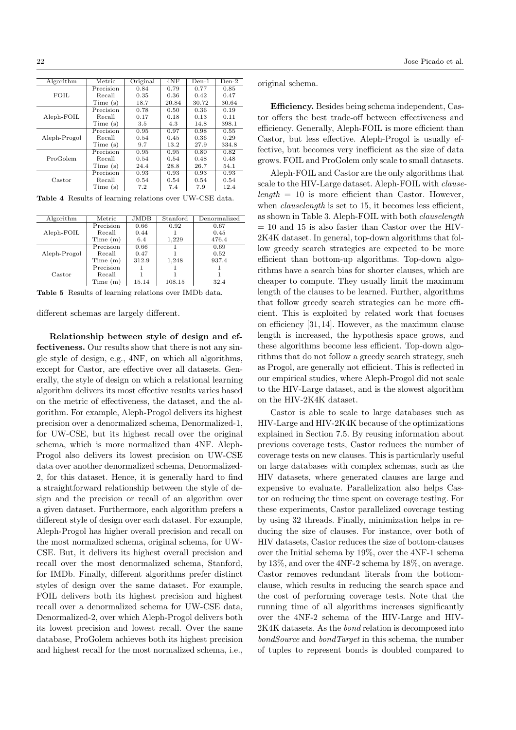Algorithm | Metric | Original | 4NF | Den-1 | Den-2 FOIL Precision 0.84 0.79 0.77 0.85<br>Recall 0.35 0.36 0.42 0.47 Recall | 0.35 | 0.36 | 0.42 | 0.47 Time (s) 18.7 20.84 30.72 30.64<br>Precision 0.78 0.50 0.36 0.19 Aleph-FOIL Precision 0.78 0.50 0.36 0.19<br>Recall 0.17 0.18 0.13 0.11 Recall 0.17 0.18 0.13 0.11<br>
Fime (s) 3.5 4.3 14.8 398.1 Time (s)  $3.5$ Aleph-Progol Precision 0.95 0.97 0.98 0.55<br>Recall 0.54 0.45 0.36 0.29 Recall  $\begin{array}{|c|c|c|c|c|c|c|c|} \hline \text{Recall} & 0.54 & 0.45 & 0.36 & 0.29 \\ \hline \text{Time (s)} & 9.7 & 13.2 & 27.9 & 334.8 \\ \hline \end{array}$ Time  $(s)$ ProGolem Precision 0.95 0.95 0.80 0.82 Recall | 0.54 | 0.54 | 0.48 | 0.48  $\begin{array}{|c|c|c|c|c|c|c|}\n\hline\n\text{Time (s)} & 24.4 & 28.8 & 26.7 & 54.1 \\
\hline\n\text{Precision} & 0.93 & 0.93 & 0.93 & 0.93 \\
\hline\n\end{array}$ Castor Precision 0.93 0.93 0.93 0.93<br>Recall 0.54 0.54 0.54 0.54 Recall  $\begin{array}{|c|c|c|c|c|c|c|c|} \hline \text{Recall} & 0.54 & 0.54 & 0.54 & 0.54 \\ \hline \text{Time (s)} & 7.2 & 7.4 & 7.9 & 12.4 \\ \hline \end{array}$ Time  $(s)$ 

Table 4 Results of learning relations over UW-CSE data.

| Metric    | <b>JMDB</b> | Stanford | Denormalized |
|-----------|-------------|----------|--------------|
|           |             |          |              |
| Precision | 0.66        | 0.92     | 0.67         |
| Recall    | 0.44        |          | 0.45         |
| Time(m)   | 6.4         | 1.229    | 476.4        |
| Precision | 0.66        |          | 0.69         |
| Recall    | 0.47        |          | 0.52         |
| Time(m)   | 312.9       | 1,248    | 937.4        |
| Precision |             |          |              |
| Recall    |             |          |              |
| Time(m)   | 15.14       | 108.15   | 32.4         |
|           |             |          |              |

Table 5 Results of learning relations over IMDb data.

different schemas are largely different.

Relationship between style of design and effectiveness. Our results show that there is not any single style of design, e.g., 4NF, on which all algorithms, except for Castor, are effective over all datasets. Generally, the style of design on which a relational learning algorithm delivers its most effective results varies based on the metric of effectiveness, the dataset, and the algorithm. For example, Aleph-Progol delivers its highest precision over a denormalized schema, Denormalized-1, for UW-CSE, but its highest recall over the original schema, which is more normalized than 4NF. Aleph-Progol also delivers its lowest precision on UW-CSE data over another denormalized schema, Denormalized-2, for this dataset. Hence, it is generally hard to find a straightforward relationship between the style of design and the precision or recall of an algorithm over a given dataset. Furthermore, each algorithm prefers a different style of design over each dataset. For example, Aleph-Progol has higher overall precision and recall on the most normalized schema, original schema, for UW-CSE. But, it delivers its highest overall precision and recall over the most denormalized schema, Stanford, for IMDb. Finally, different algorithms prefer distinct styles of design over the same dataset. For example, FOIL delivers both its highest precision and highest recall over a denormalized schema for UW-CSE data, Denormalized-2, over which Aleph-Progol delivers both its lowest precision and lowest recall. Over the same database, ProGolem achieves both its highest precision and highest recall for the most normalized schema, i.e.,

original schema.

Efficiency. Besides being schema independent, Castor offers the best trade-off between effectiveness and efficiency. Generally, Aleph-FOIL is more efficient than Castor, but less effective. Aleph-Progol is usually effective, but becomes very inefficient as the size of data grows. FOIL and ProGolem only scale to small datasets.

Aleph-FOIL and Castor are the only algorithms that scale to the HIV-Large dataset. Aleph-FOIL with clause $length = 10$  is more efficient than Castor. However, when *clauselength* is set to 15, it becomes less efficient, as shown in Table 3. Aleph-FOIL with both clauselength  $= 10$  and 15 is also faster than Castor over the HIV-2K4K dataset. In general, top-down algorithms that follow greedy search strategies are expected to be more efficient than bottom-up algorithms. Top-down algorithms have a search bias for shorter clauses, which are cheaper to compute. They usually limit the maximum length of the clauses to be learned. Further, algorithms that follow greedy search strategies can be more efficient. This is exploited by related work that focuses on efficiency [31, 14]. However, as the maximum clause length is increased, the hypothesis space grows, and these algorithms become less efficient. Top-down algorithms that do not follow a greedy search strategy, such as Progol, are generally not efficient. This is reflected in our empirical studies, where Aleph-Progol did not scale to the HIV-Large dataset, and is the slowest algorithm on the HIV-2K4K dataset.

Castor is able to scale to large databases such as HIV-Large and HIV-2K4K because of the optimizations explained in Section 7.5. By reusing information about previous coverage tests, Castor reduces the number of coverage tests on new clauses. This is particularly useful on large databases with complex schemas, such as the HIV datasets, where generated clauses are large and expensive to evaluate. Parallelization also helps Castor on reducing the time spent on coverage testing. For these experiments, Castor parallelized coverage testing by using 32 threads. Finally, minimization helps in reducing the size of clauses. For instance, over both of HIV datasets, Castor reduces the size of bottom-clauses over the Initial schema by 19%, over the 4NF-1 schema by 13%, and over the 4NF-2 schema by 18%, on average. Castor removes redundant literals from the bottomclause, which results in reducing the search space and the cost of performing coverage tests. Note that the running time of all algorithms increases significantly over the 4NF-2 schema of the HIV-Large and HIV-2K4K datasets. As the bond relation is decomposed into bondSource and bondTarget in this schema, the number of tuples to represent bonds is doubled compared to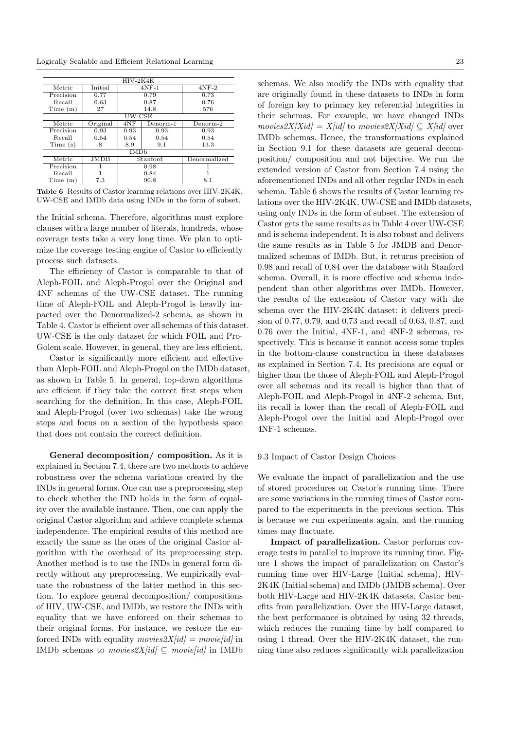| HIV-2K4K    |             |          |          |              |  |
|-------------|-------------|----------|----------|--------------|--|
| Metric      | Initial     | $4NF-1$  |          | $4NF-2$      |  |
| Precision   | 0.77        |          | 0.79     | 0.73         |  |
| Recall      | 0.63        |          | 0.87     | 0.76         |  |
| Time(m)     | 27          |          | 14.8     | 576          |  |
| $UW-CSE$    |             |          |          |              |  |
| Metric      | Original    | 4NF      | Denorm-1 | $Denorm-2$   |  |
| Precision   | 0.93        | 0.93     | 0.93     | 0.93         |  |
| Recall      | 0.54        | 0.54     | 0.54     | 0.54         |  |
| Time(s)     | 8           | 8.9      | 9.1      | 13.3         |  |
| <b>IMDb</b> |             |          |          |              |  |
| Metric      | <b>JMDB</b> | Stanford |          | Denormalized |  |
| Precision   |             | 0.98     |          |              |  |
| Recall      |             | 0.84     |          |              |  |
| Time(m)     | 7.3         | 90.8     |          | 8.1          |  |

Table 6 Results of Castor learning relations over HIV-2K4K, UW-CSE and IMDb data using INDs in the form of subset.

the Initial schema. Therefore, algorithms must explore clauses with a large number of literals, hundreds, whose coverage tests take a very long time. We plan to optimize the coverage testing engine of Castor to efficiently process such datasets.

The efficiency of Castor is comparable to that of Aleph-FOIL and Aleph-Progol over the Original and 4NF schemas of the UW-CSE dataset. The running time of Aleph-FOIL and Aleph-Progol is heavily impacted over the Denormalized-2 schema, as shown in Table 4. Castor is efficient over all schemas of this dataset. UW-CSE is the only dataset for which FOIL and Pro-Golem scale. However, in general, they are less efficient.

Castor is significantly more efficient and effective than Aleph-FOIL and Aleph-Progol on the IMDb dataset, as shown in Table 5. In general, top-down algorithms are efficient if they take the correct first steps when searching for the definition. In this case, Aleph-FOIL and Aleph-Progol (over two schemas) take the wrong steps and focus on a section of the hypothesis space that does not contain the correct definition.

General decomposition/ composition. As it is explained in Section 7.4, there are two methods to achieve robustness over the schema variations created by the INDs in general forms. One can use a preprocessing step to check whether the IND holds in the form of equality over the available instance. Then, one can apply the original Castor algorithm and achieve complete schema independence. The empirical results of this method are exactly the same as the ones of the original Castor algorithm with the overhead of its preprocessing step. Another method is to use the INDs in general form directly without any preprocessing. We empirically evaluate the robustness of the latter method in this section. To explore general decomposition/ compositions of HIV, UW-CSE, and IMDb, we restore the INDs with equality that we have enforced on their schemas to their original forms. For instance, we restore the enforced INDs with equality movies  $2X(id] = movie(id)$  in IMDb schemas to  $movies2X(id) \subseteq movieifold$  in IMDb

schemas. We also modify the INDs with equality that are originally found in these datasets to INDs in form of foreign key to primary key referential integrities in their schemas. For example, we have changed INDs  $movies2X[Xid] = X(id]$  to  $movies2X[Xid] \subseteq X(id]$  over IMDb schemas. Hence, the transformations explained in Section 9.1 for these datasets are general decomposition/ composition and not bijective. We run the extended version of Castor from Section 7.4 using the aforementioned INDs and all other regular INDs in each schema. Table 6 shows the results of Castor learning relations over the HIV-2K4K, UW-CSE and IMDb datasets, using only INDs in the form of subset. The extension of Castor gets the same results as in Table 4 over UW-CSE and is schema independent. It is also robust and delivers the same results as in Table 5 for JMDB and Denormalized schemas of IMDb. But, it returns precision of 0.98 and recall of 0.84 over the database with Stanford schema. Overall, it is more effective and schema independent than other algorithms over IMDb. However, the results of the extension of Castor vary with the schema over the HIV-2K4K dataset: it delivers precision of 0.77, 0.79, and 0.73 and recall of 0.63, 0.87, and 0.76 over the Initial, 4NF-1, and 4NF-2 schemas, respectively. This is because it cannot access some tuples in the bottom-clause construction in these databases as explained in Section 7.4. Its precisions are equal or higher than the those of Aleph-FOIL and Aleph-Progol over all schemas and its recall is higher than that of Aleph-FOIL and Aleph-Progol in 4NF-2 schema. But, its recall is lower than the recall of Aleph-FOIL and Aleph-Progol over the Initial and Aleph-Progol over 4NF-1 schemas.

#### 9.3 Impact of Castor Design Choices

We evaluate the impact of parallelization and the use of stored procedures on Castor's running time. There are some variations in the running times of Castor compared to the experiments in the previous section. This is because we run experiments again, and the running times may fluctuate.

Impact of parallelization. Castor performs coverage tests in parallel to improve its running time. Figure 1 shows the impact of parallelization on Castor's running time over HIV-Large (Initial schema), HIV-2K4K (Initial schema) and IMDb (JMDB schema). Over both HIV-Large and HIV-2K4K datasets, Castor benefits from parallelization. Over the HIV-Large dataset, the best performance is obtained by using 32 threads, which reduces the running time by half compared to using 1 thread. Over the HIV-2K4K dataset, the running time also reduces significantly with parallelization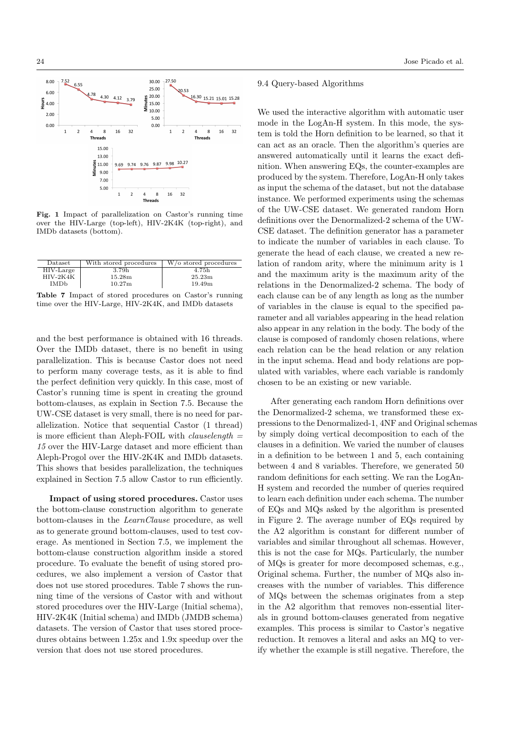

Fig. 1 Impact of parallelization on Castor's running time over the HIV-Large (top-left), HIV-2K4K (top-right), and IMDb datasets (bottom).

| Dataset     | With stored procedures | W/o stored procedures |
|-------------|------------------------|-----------------------|
| HIV-Large   | 3.79h                  | 4.75h                 |
| $HIV-2K4K$  | 15.28m                 | 25.23m                |
| <b>IMDb</b> | 10.27m                 | 19.49m                |

Table 7 Impact of stored procedures on Castor's running time over the HIV-Large, HIV-2K4K, and IMDb datasets

and the best performance is obtained with 16 threads. Over the IMDb dataset, there is no benefit in using parallelization. This is because Castor does not need to perform many coverage tests, as it is able to find the perfect definition very quickly. In this case, most of Castor's running time is spent in creating the ground bottom-clauses, as explain in Section 7.5. Because the UW-CSE dataset is very small, there is no need for parallelization. Notice that sequential Castor (1 thread) is more efficient than Aleph-FOIL with *clauselength*  $=$ 15 over the HIV-Large dataset and more efficient than Aleph-Progol over the HIV-2K4K and IMDb datasets. This shows that besides parallelization, the techniques explained in Section 7.5 allow Castor to run efficiently.

Impact of using stored procedures. Castor uses the bottom-clause construction algorithm to generate bottom-clauses in the LearnClause procedure, as well as to generate ground bottom-clauses, used to test coverage. As mentioned in Section 7.5, we implement the bottom-clause construction algorithm inside a stored procedure. To evaluate the benefit of using stored procedures, we also implement a version of Castor that does not use stored procedures. Table 7 shows the running time of the versions of Castor with and without stored procedures over the HIV-Large (Initial schema), HIV-2K4K (Initial schema) and IMDb (JMDB schema) datasets. The version of Castor that uses stored procedures obtains between 1.25x and 1.9x speedup over the version that does not use stored procedures.

#### 9.4 Query-based Algorithms

We used the interactive algorithm with automatic user mode in the LogAn-H system. In this mode, the system is told the Horn definition to be learned, so that it can act as an oracle. Then the algorithm's queries are answered automatically until it learns the exact definition. When answering EQs, the counter-examples are produced by the system. Therefore, LogAn-H only takes as input the schema of the dataset, but not the database instance. We performed experiments using the schemas of the UW-CSE dataset. We generated random Horn definitions over the Denormalized-2 schema of the UW-CSE dataset. The definition generator has a parameter to indicate the number of variables in each clause. To generate the head of each clause, we created a new relation of random arity, where the minimum arity is 1 and the maximum arity is the maximum arity of the relations in the Denormalized-2 schema. The body of each clause can be of any length as long as the number of variables in the clause is equal to the specified parameter and all variables appearing in the head relation also appear in any relation in the body. The body of the clause is composed of randomly chosen relations, where each relation can be the head relation or any relation in the input schema. Head and body relations are populated with variables, where each variable is randomly chosen to be an existing or new variable.

After generating each random Horn definitions over the Denormalized-2 schema, we transformed these expressions to the Denormalized-1, 4NF and Original schemas by simply doing vertical decomposition to each of the clauses in a definition. We varied the number of clauses in a definition to be between 1 and 5, each containing between 4 and 8 variables. Therefore, we generated 50 random definitions for each setting. We ran the LogAn-H system and recorded the number of queries required to learn each definition under each schema. The number of EQs and MQs asked by the algorithm is presented in Figure 2. The average number of EQs required by the A2 algorithm is constant for different number of variables and similar throughout all schemas. However, this is not the case for MQs. Particularly, the number of MQs is greater for more decomposed schemas, e.g., Original schema. Further, the number of MQs also increases with the number of variables. This difference of MQs between the schemas originates from a step in the A2 algorithm that removes non-essential literals in ground bottom-clauses generated from negative examples. This process is similar to Castor's negative reduction. It removes a literal and asks an MQ to verify whether the example is still negative. Therefore, the